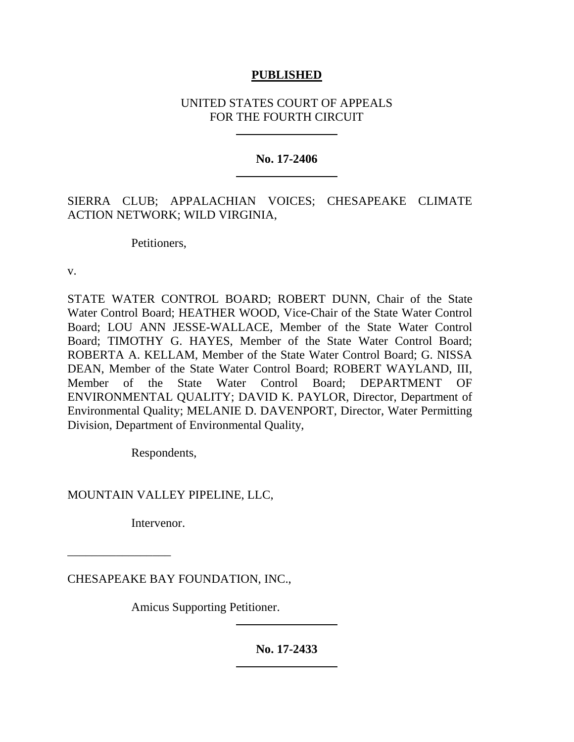# **PUBLISHED**

# UNITED STATES COURT OF APPEALS FOR THE FOURTH CIRCUIT

### **No. 17-2406**

# SIERRA CLUB; APPALACHIAN VOICES; CHESAPEAKE CLIMATE ACTION NETWORK; WILD VIRGINIA,

Petitioners,

v.

STATE WATER CONTROL BOARD; ROBERT DUNN, Chair of the State Water Control Board; HEATHER WOOD, Vice-Chair of the State Water Control Board; LOU ANN JESSE-WALLACE, Member of the State Water Control Board; TIMOTHY G. HAYES, Member of the State Water Control Board; ROBERTA A. KELLAM, Member of the State Water Control Board; G. NISSA DEAN, Member of the State Water Control Board; ROBERT WAYLAND, III, Member of the State Water Control Board; DEPARTMENT OF ENVIRONMENTAL QUALITY; DAVID K. PAYLOR, Director, Department of Environmental Quality; MELANIE D. DAVENPORT, Director, Water Permitting Division, Department of Environmental Quality,

Respondents,

MOUNTAIN VALLEY PIPELINE, LLC,

Intervenor.

\_\_\_\_\_\_\_\_\_\_\_\_\_\_\_\_\_

CHESAPEAKE BAY FOUNDATION, INC.,

Amicus Supporting Petitioner.

**No. 17-2433**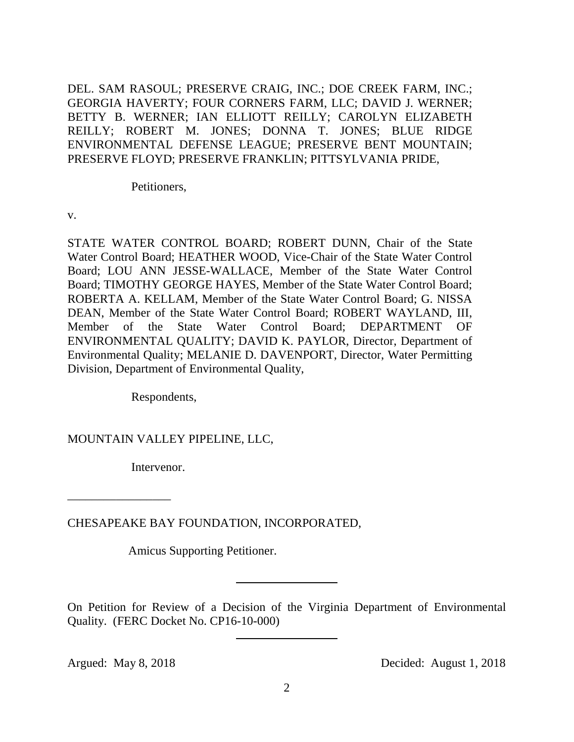DEL. SAM RASOUL; PRESERVE CRAIG, INC.; DOE CREEK FARM, INC.; GEORGIA HAVERTY; FOUR CORNERS FARM, LLC; DAVID J. WERNER; BETTY B. WERNER; IAN ELLIOTT REILLY; CAROLYN ELIZABETH REILLY; ROBERT M. JONES; DONNA T. JONES; BLUE RIDGE ENVIRONMENTAL DEFENSE LEAGUE; PRESERVE BENT MOUNTAIN; PRESERVE FLOYD; PRESERVE FRANKLIN; PITTSYLVANIA PRIDE,

Petitioners,

v.

STATE WATER CONTROL BOARD; ROBERT DUNN, Chair of the State Water Control Board; HEATHER WOOD, Vice-Chair of the State Water Control Board; LOU ANN JESSE-WALLACE, Member of the State Water Control Board; TIMOTHY GEORGE HAYES, Member of the State Water Control Board; ROBERTA A. KELLAM, Member of the State Water Control Board; G. NISSA DEAN, Member of the State Water Control Board; ROBERT WAYLAND, III, Member of the State Water Control Board; DEPARTMENT OF ENVIRONMENTAL QUALITY; DAVID K. PAYLOR, Director, Department of Environmental Quality; MELANIE D. DAVENPORT, Director, Water Permitting Division, Department of Environmental Quality,

Respondents,

MOUNTAIN VALLEY PIPELINE, LLC,

Intervenor.

CHESAPEAKE BAY FOUNDATION, INCORPORATED,

Amicus Supporting Petitioner.

On Petition for Review of a Decision of the Virginia Department of Environmental Quality. (FERC Docket No. CP16-10-000)

\_\_\_\_\_\_\_\_\_\_\_\_\_\_\_\_\_

Argued: May 8, 2018 Decided: August 1, 2018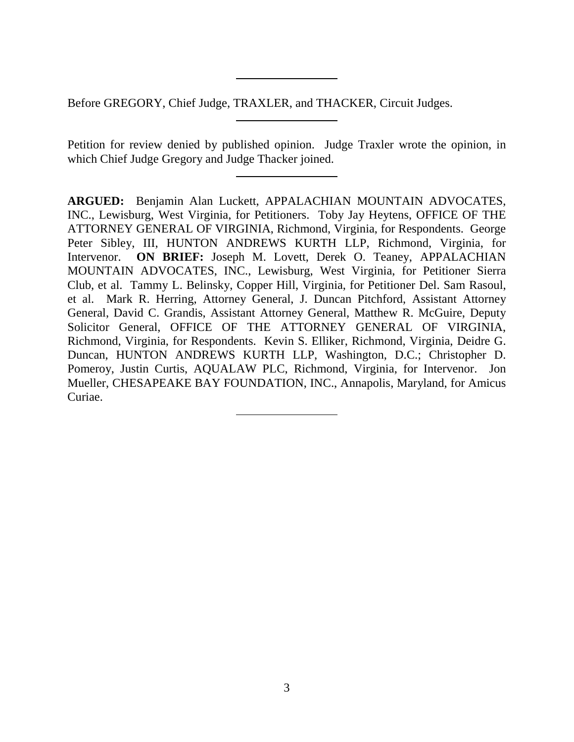Before GREGORY, Chief Judge, TRAXLER, and THACKER, Circuit Judges.

Petition for review denied by published opinion. Judge Traxler wrote the opinion, in which Chief Judge Gregory and Judge Thacker joined.

**ARGUED:** Benjamin Alan Luckett, APPALACHIAN MOUNTAIN ADVOCATES, INC., Lewisburg, West Virginia, for Petitioners. Toby Jay Heytens, OFFICE OF THE ATTORNEY GENERAL OF VIRGINIA, Richmond, Virginia, for Respondents. George Peter Sibley, III, HUNTON ANDREWS KURTH LLP, Richmond, Virginia, for Intervenor. **ON BRIEF:** Joseph M. Lovett, Derek O. Teaney, APPALACHIAN MOUNTAIN ADVOCATES, INC., Lewisburg, West Virginia, for Petitioner Sierra Club, et al. Tammy L. Belinsky, Copper Hill, Virginia, for Petitioner Del. Sam Rasoul, et al. Mark R. Herring, Attorney General, J. Duncan Pitchford, Assistant Attorney General, David C. Grandis, Assistant Attorney General, Matthew R. McGuire, Deputy Solicitor General, OFFICE OF THE ATTORNEY GENERAL OF VIRGINIA, Richmond, Virginia, for Respondents. Kevin S. Elliker, Richmond, Virginia, Deidre G. Duncan, HUNTON ANDREWS KURTH LLP, Washington, D.C.; Christopher D. Pomeroy, Justin Curtis, AQUALAW PLC, Richmond, Virginia, for Intervenor. Jon Mueller, CHESAPEAKE BAY FOUNDATION, INC., Annapolis, Maryland, for Amicus Curiae.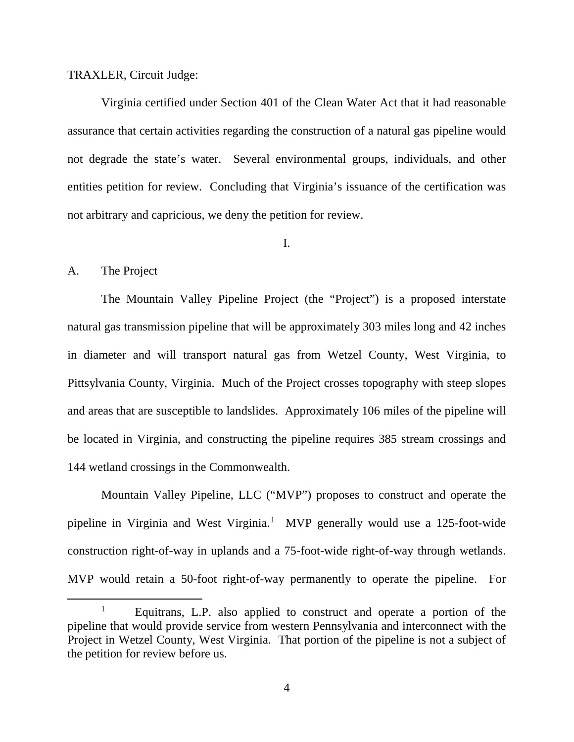## TRAXLER, Circuit Judge:

Virginia certified under Section 401 of the Clean Water Act that it had reasonable assurance that certain activities regarding the construction of a natural gas pipeline would not degrade the state's water. Several environmental groups, individuals, and other entities petition for review. Concluding that Virginia's issuance of the certification was not arbitrary and capricious, we deny the petition for review.

I.

## A. The Project

The Mountain Valley Pipeline Project (the "Project") is a proposed interstate natural gas transmission pipeline that will be approximately 303 miles long and 42 inches in diameter and will transport natural gas from Wetzel County, West Virginia, to Pittsylvania County, Virginia. Much of the Project crosses topography with steep slopes and areas that are susceptible to landslides. Approximately 106 miles of the pipeline will be located in Virginia, and constructing the pipeline requires 385 stream crossings and 144 wetland crossings in the Commonwealth.

Mountain Valley Pipeline, LLC ("MVP") proposes to construct and operate the pipeline in Virginia and West Virginia.<sup>[1](#page-3-0)</sup> MVP generally would use a 125-foot-wide construction right-of-way in uplands and a 75-foot-wide right-of-way through wetlands. MVP would retain a 50-foot right-of-way permanently to operate the pipeline. For

<span id="page-3-0"></span> <sup>1</sup> Equitrans, L.P. also applied to construct and operate a portion of the pipeline that would provide service from western Pennsylvania and interconnect with the Project in Wetzel County, West Virginia. That portion of the pipeline is not a subject of the petition for review before us.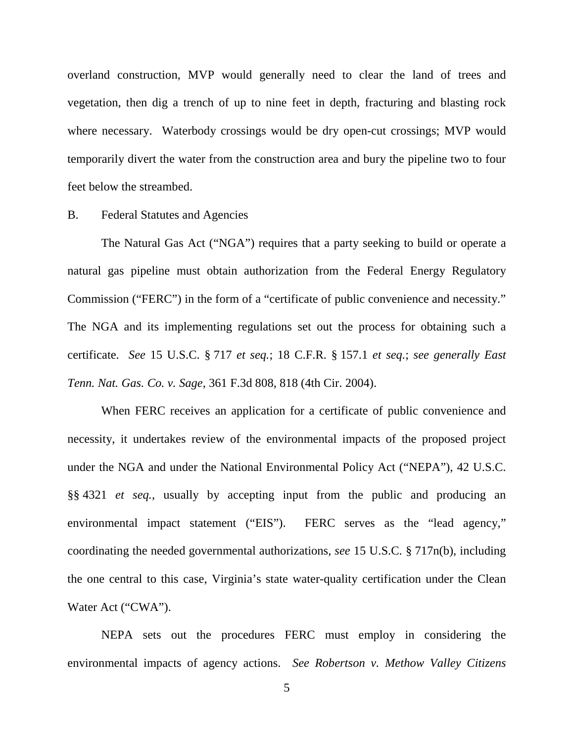overland construction, MVP would generally need to clear the land of trees and vegetation, then dig a trench of up to nine feet in depth, fracturing and blasting rock where necessary. Waterbody crossings would be dry open-cut crossings; MVP would temporarily divert the water from the construction area and bury the pipeline two to four feet below the streambed.

#### B. Federal Statutes and Agencies

The Natural Gas Act ("NGA") requires that a party seeking to build or operate a natural gas pipeline must obtain authorization from the Federal Energy Regulatory Commission ("FERC") in the form of a "certificate of public convenience and necessity." The NGA and its implementing regulations set out the process for obtaining such a certificate. *See* 15 U.S.C. § 717 *et seq.*; 18 C.F.R. § 157.1 *et seq.*; *see generally East Tenn. Nat. Gas. Co. v. Sage*, 361 F.3d 808, 818 (4th Cir. 2004).

When FERC receives an application for a certificate of public convenience and necessity, it undertakes review of the environmental impacts of the proposed project under the NGA and under the National Environmental Policy Act ("NEPA"), 42 U.S.C. §§ 4321 *et seq.*, usually by accepting input from the public and producing an environmental impact statement ("EIS"). FERC serves as the "lead agency," coordinating the needed governmental authorizations, *see* 15 U.S.C. § 717n(b), including the one central to this case, Virginia's state water-quality certification under the Clean Water Act ("CWA").

NEPA sets out the procedures FERC must employ in considering the environmental impacts of agency actions. *See Robertson v. Methow Valley Citizens* 

5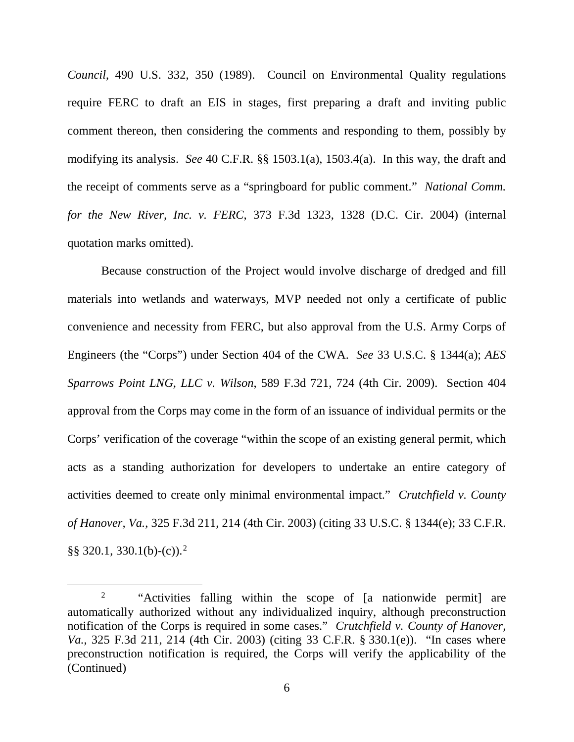*Council*, 490 U.S. 332, 350 (1989). Council on Environmental Quality regulations require FERC to draft an EIS in stages, first preparing a draft and inviting public comment thereon, then considering the comments and responding to them, possibly by modifying its analysis. *See* 40 C.F.R. §§ 1503.1(a), 1503.4(a). In this way, the draft and the receipt of comments serve as a "springboard for public comment." *National Comm. for the New River, Inc. v. FERC*, 373 F.3d 1323, 1328 (D.C. Cir. 2004) (internal quotation marks omitted).

Because construction of the Project would involve discharge of dredged and fill materials into wetlands and waterways, MVP needed not only a certificate of public convenience and necessity from FERC, but also approval from the U.S. Army Corps of Engineers (the "Corps") under Section 404 of the CWA. *See* 33 U.S.C. § 1344(a); *AES Sparrows Point LNG, LLC v. Wilson*, 589 F.3d 721, 724 (4th Cir. 2009). Section 404 approval from the Corps may come in the form of an issuance of individual permits or the Corps' verification of the coverage "within the scope of an existing general permit, which acts as a standing authorization for developers to undertake an entire category of activities deemed to create only minimal environmental impact." *Crutchfield v. County of Hanover, Va.*, 325 F.3d 211, 214 (4th Cir. 2003) (citing 33 U.S.C. § 1344(e); 33 C.F.R.  $\S$ § 3[2](#page-5-0)0.1, 330.1(b)-(c)).<sup>2</sup>

<span id="page-5-0"></span><sup>&</sup>lt;sup>2</sup> "Activities falling within the scope of [a nationwide permit] are automatically authorized without any individualized inquiry, although preconstruction notification of the Corps is required in some cases." *Crutchfield v. County of Hanover, Va.*, 325 F.3d 211, 214 (4th Cir. 2003) (citing 33 C.F.R. § 330.1(e)). "In cases where preconstruction notification is required, the Corps will verify the applicability of the (Continued)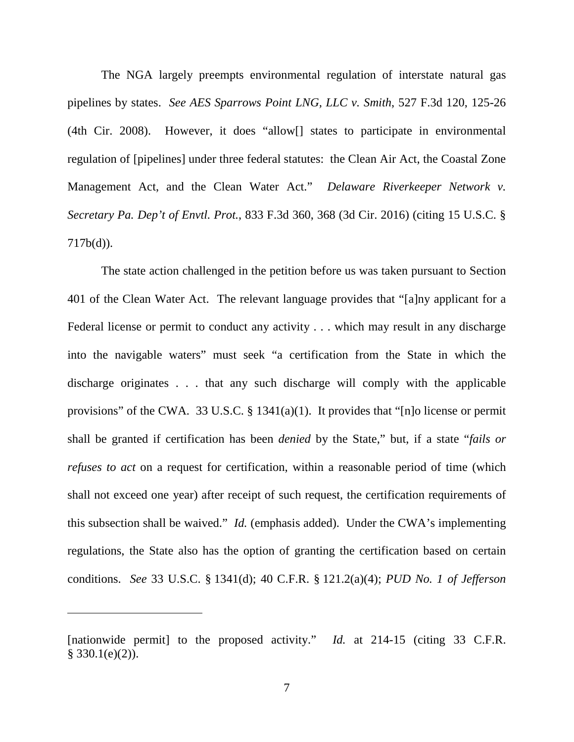The NGA largely preempts environmental regulation of interstate natural gas pipelines by states. *See AES Sparrows Point LNG, LLC v. Smith*, 527 F.3d 120, 125-26 (4th Cir. 2008). However, it does "allow[] states to participate in environmental regulation of [pipelines] under three federal statutes: the Clean Air Act, the Coastal Zone Management Act, and the Clean Water Act." *Delaware Riverkeeper Network v. Secretary Pa. Dep't of Envtl. Prot.*, 833 F.3d 360, 368 (3d Cir. 2016) (citing 15 U.S.C. §  $717b(d)$ ).

The state action challenged in the petition before us was taken pursuant to Section 401 of the Clean Water Act. The relevant language provides that "[a]ny applicant for a Federal license or permit to conduct any activity . . . which may result in any discharge into the navigable waters" must seek "a certification from the State in which the discharge originates . . . that any such discharge will comply with the applicable provisions" of the CWA. 33 U.S.C. § 1341(a)(1). It provides that "[n]o license or permit shall be granted if certification has been *denied* by the State," but, if a state "*fails or refuses to act* on a request for certification, within a reasonable period of time (which shall not exceed one year) after receipt of such request, the certification requirements of this subsection shall be waived." *Id.* (emphasis added). Under the CWA's implementing regulations, the State also has the option of granting the certification based on certain conditions. *See* 33 U.S.C. § 1341(d); 40 C.F.R. § 121.2(a)(4); *PUD No. 1 of Jefferson* 

 $\overline{a}$ 

<sup>[</sup>nationwide permit] to the proposed activity." *Id.* at 214-15 (citing 33 C.F.R.  $§$  330.1(e)(2)).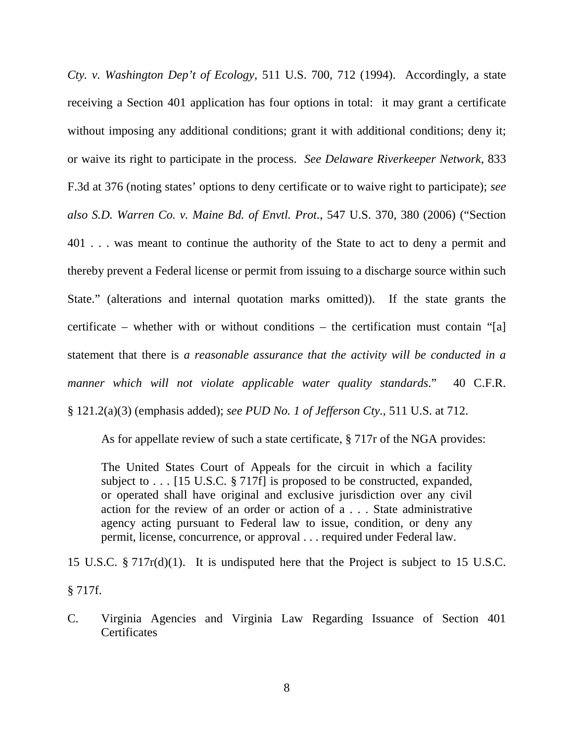*Cty. v. Washington Dep't of Ecology*, 511 U.S. 700, 712 (1994). Accordingly, a state receiving a Section 401 application has four options in total: it may grant a certificate without imposing any additional conditions; grant it with additional conditions; deny it; or waive its right to participate in the process. *See Delaware Riverkeeper Network*, 833 F.3d at 376 (noting states' options to deny certificate or to waive right to participate); *see also S.D. Warren Co. v. Maine Bd. of Envtl. Prot.*, 547 U.S. 370, 380 (2006) ("Section 401 . . . was meant to continue the authority of the State to act to deny a permit and thereby prevent a Federal license or permit from issuing to a discharge source within such State." (alterations and internal quotation marks omitted)). If the state grants the certificate – whether with or without conditions – the certification must contain "[a] statement that there is *a reasonable assurance that the activity will be conducted in a manner which will not violate applicable water quality standards*." 40 C.F.R. § 121.2(a)(3) (emphasis added); *see PUD No. 1 of Jefferson Cty.*, 511 U.S. at 712.

As for appellate review of such a state certificate, § 717r of the NGA provides:

The United States Court of Appeals for the circuit in which a facility subject to . . . [15 U.S.C. § 717f] is proposed to be constructed, expanded, or operated shall have original and exclusive jurisdiction over any civil action for the review of an order or action of a . . . State administrative agency acting pursuant to Federal law to issue, condition, or deny any permit, license, concurrence, or approval . . . required under Federal law.

15 U.S.C. § 717r(d)(1). It is undisputed here that the Project is subject to 15 U.S.C. § 717f.

C. Virginia Agencies and Virginia Law Regarding Issuance of Section 401 **Certificates**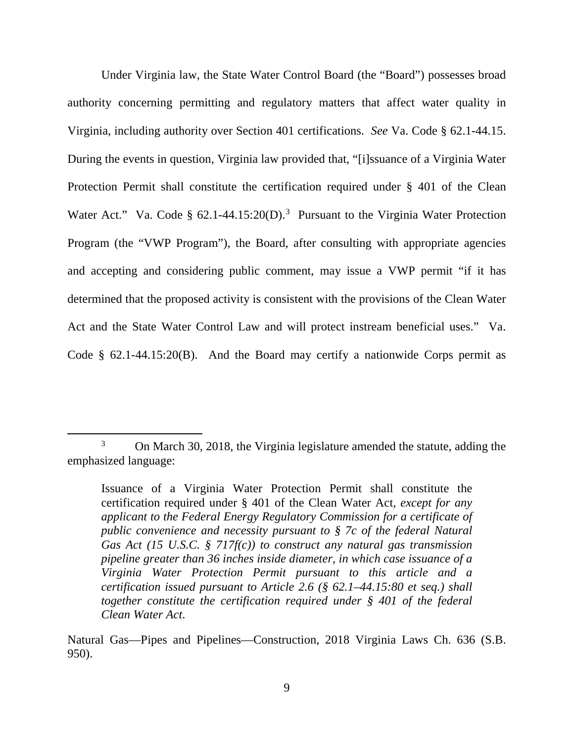Under Virginia law, the State Water Control Board (the "Board") possesses broad authority concerning permitting and regulatory matters that affect water quality in Virginia, including authority over Section 401 certifications. *See* Va. Code § 62.1-44.15. During the events in question, Virginia law provided that, "[i]ssuance of a Virginia Water Protection Permit shall constitute the certification required under § 401 of the Clean Water Act." Va. Code § 62.1-44.15:20(D).<sup>[3](#page-8-0)</sup> Pursuant to the Virginia Water Protection Program (the "VWP Program"), the Board, after consulting with appropriate agencies and accepting and considering public comment, may issue a VWP permit "if it has determined that the proposed activity is consistent with the provisions of the Clean Water Act and the State Water Control Law and will protect instream beneficial uses." Va. Code § 62.1-44.15:20(B). And the Board may certify a nationwide Corps permit as

Natural Gas—Pipes and Pipelines—Construction, 2018 Virginia Laws Ch. 636 (S.B. 950).

<span id="page-8-0"></span> $\frac{1}{3}$ <sup>3</sup> On March 30, 2018, the Virginia legislature amended the statute, adding the emphasized language:

Issuance of a Virginia Water Protection Permit shall constitute the certification required under § 401 of the Clean Water Act*, except for any applicant to the Federal Energy Regulatory Commission for a certificate of public convenience and necessity pursuant to § 7c of the federal Natural Gas Act (15 U.S.C. § 717f(c)) to construct any natural gas transmission pipeline greater than 36 inches inside diameter, in which case issuance of a Virginia Water Protection Permit pursuant to this article and a certification issued pursuant to Article 2.6 (§ 62.1–44.15:80 et seq.) shall together constitute the certification required under § 401 of the federal Clean Water Act*.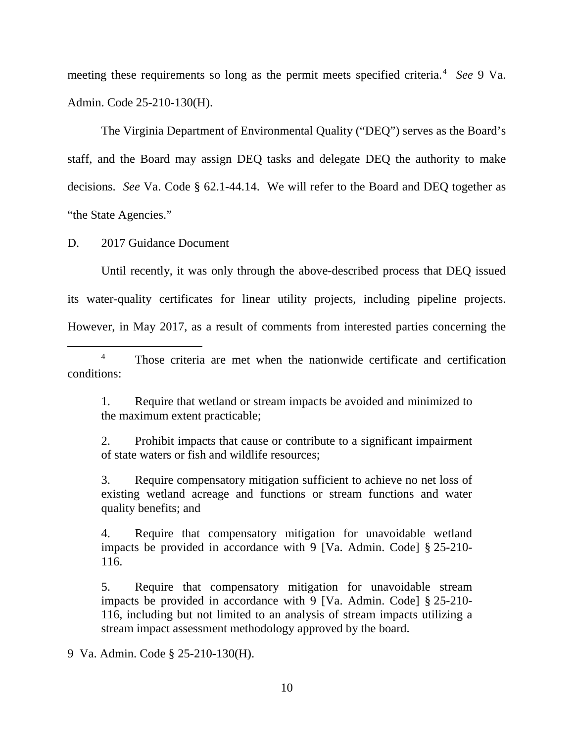meeting these requirements so long as the permit meets specified criteria. [4](#page-9-0) *See* 9 Va. Admin. Code 25-210-130(H).

The Virginia Department of Environmental Quality ("DEQ") serves as the Board's staff, and the Board may assign DEQ tasks and delegate DEQ the authority to make decisions. *See* Va. Code § 62.1-44.14. We will refer to the Board and DEQ together as "the State Agencies."

D. 2017 Guidance Document

Until recently, it was only through the above-described process that DEQ issued its water-quality certificates for linear utility projects, including pipeline projects. However, in May 2017, as a result of comments from interested parties concerning the

1. Require that wetland or stream impacts be avoided and minimized to the maximum extent practicable;

2. Prohibit impacts that cause or contribute to a significant impairment of state waters or fish and wildlife resources;

3. Require compensatory mitigation sufficient to achieve no net loss of existing wetland acreage and functions or stream functions and water quality benefits; and

4. Require that compensatory mitigation for unavoidable wetland impacts be provided in accordance with 9 [Va. Admin. Code] § 25-210- 116.

5. Require that compensatory mitigation for unavoidable stream impacts be provided in accordance with 9 [Va. Admin. Code] § 25-210- 116, including but not limited to an analysis of stream impacts utilizing a stream impact assessment methodology approved by the board.

9 Va. Admin. Code § 25-210-130(H).

<span id="page-9-0"></span><sup>&</sup>lt;sup>4</sup> Those criteria are met when the nationwide certificate and certification conditions: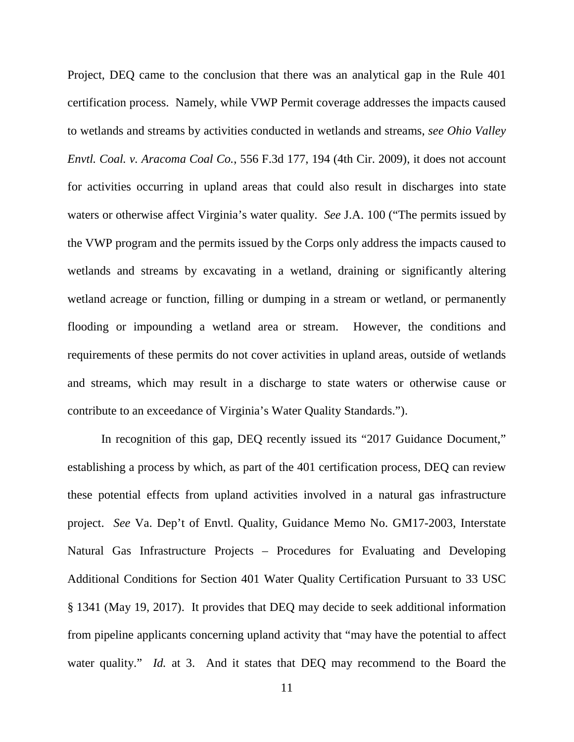Project, DEQ came to the conclusion that there was an analytical gap in the Rule 401 certification process. Namely, while VWP Permit coverage addresses the impacts caused to wetlands and streams by activities conducted in wetlands and streams, *see Ohio Valley Envtl. Coal. v. Aracoma Coal Co.*, 556 F.3d 177, 194 (4th Cir. 2009), it does not account for activities occurring in upland areas that could also result in discharges into state waters or otherwise affect Virginia's water quality. *See* J.A. 100 ("The permits issued by the VWP program and the permits issued by the Corps only address the impacts caused to wetlands and streams by excavating in a wetland, draining or significantly altering wetland acreage or function, filling or dumping in a stream or wetland, or permanently flooding or impounding a wetland area or stream. However, the conditions and requirements of these permits do not cover activities in upland areas, outside of wetlands and streams, which may result in a discharge to state waters or otherwise cause or contribute to an exceedance of Virginia's Water Quality Standards.").

In recognition of this gap, DEQ recently issued its "2017 Guidance Document," establishing a process by which, as part of the 401 certification process, DEQ can review these potential effects from upland activities involved in a natural gas infrastructure project. *See* Va. Dep't of Envtl. Quality, Guidance Memo No. GM17-2003, Interstate Natural Gas Infrastructure Projects – Procedures for Evaluating and Developing Additional Conditions for Section 401 Water Quality Certification Pursuant to 33 USC § 1341 (May 19, 2017). It provides that DEQ may decide to seek additional information from pipeline applicants concerning upland activity that "may have the potential to affect water quality." *Id.* at 3. And it states that DEQ may recommend to the Board the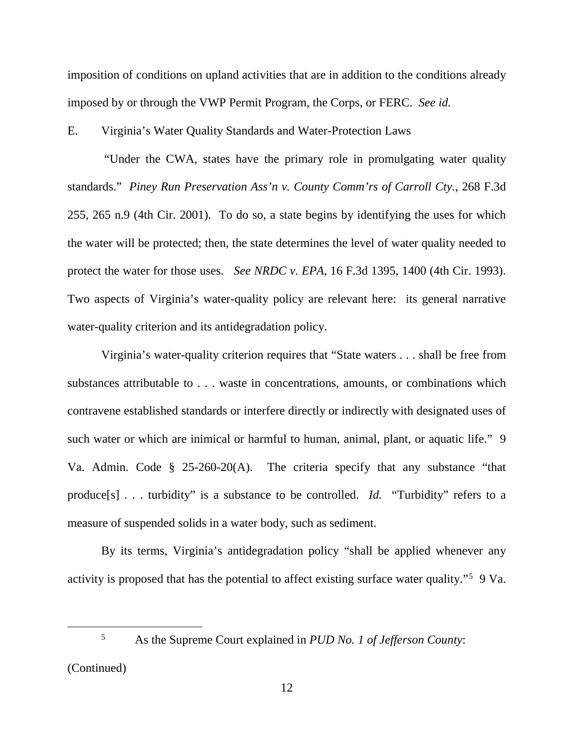imposition of conditions on upland activities that are in addition to the conditions already imposed by or through the VWP Permit Program, the Corps, or FERC. *See id.*

E. Virginia's Water Quality Standards and Water-Protection Laws

"Under the CWA, states have the primary role in promulgating water quality standards." *Piney Run Preservation Ass'n v. County Comm'rs of Carroll Cty.*, 268 F.3d 255, 265 n.9 (4th Cir. 2001). To do so, a state begins by identifying the uses for which the water will be protected; then, the state determines the level of water quality needed to protect the water for those uses. *See NRDC v. EPA*, 16 F.3d 1395, 1400 (4th Cir. 1993). Two aspects of Virginia's water-quality policy are relevant here: its general narrative water-quality criterion and its antidegradation policy.

Virginia's water-quality criterion requires that "State waters . . . shall be free from substances attributable to . . . waste in concentrations, amounts, or combinations which contravene established standards or interfere directly or indirectly with designated uses of such water or which are inimical or harmful to human, animal, plant, or aquatic life." 9 Va. Admin. Code § 25-260-20(A). The criteria specify that any substance "that produce[s] . . . turbidity" is a substance to be controlled. *Id.* "Turbidity" refers to a measure of suspended solids in a water body, such as sediment.

By its terms, Virginia's antidegradation policy "shall be applied whenever any activity is proposed that has the potential to affect existing surface water quality."<sup>[5](#page-11-0)</sup> 9 Va.

 <sup>5</sup> As the Supreme Court explained in *PUD No. 1 of Jefferson County*:

<span id="page-11-0"></span><sup>(</sup>Continued)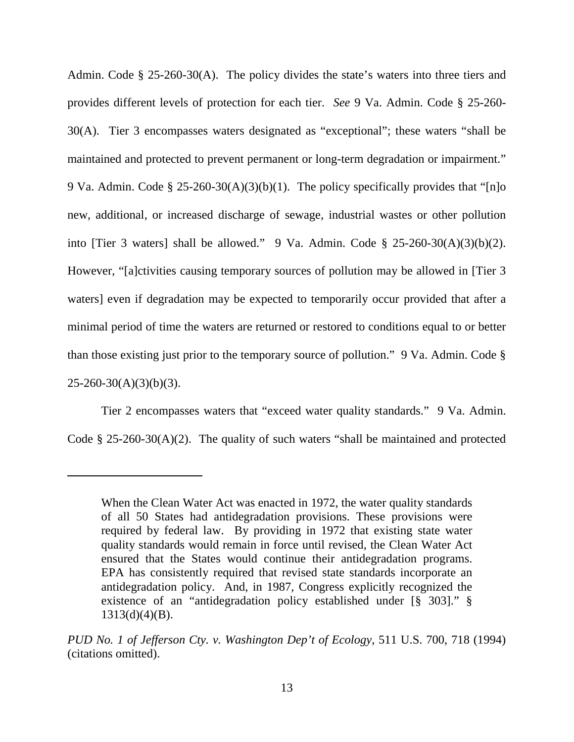Admin. Code § 25-260-30(A). The policy divides the state's waters into three tiers and provides different levels of protection for each tier. *See* 9 Va. Admin. Code § 25-260- 30(A). Tier 3 encompasses waters designated as "exceptional"; these waters "shall be maintained and protected to prevent permanent or long-term degradation or impairment." 9 Va. Admin. Code § 25-260-30(A)(3)(b)(1). The policy specifically provides that "[n]o new, additional, or increased discharge of sewage, industrial wastes or other pollution into [Tier 3 waters] shall be allowed." 9 Va. Admin. Code  $\S$  25-260-30(A)(3)(b)(2). However, "[a]ctivities causing temporary sources of pollution may be allowed in [Tier 3 waters] even if degradation may be expected to temporarily occur provided that after a minimal period of time the waters are returned or restored to conditions equal to or better than those existing just prior to the temporary source of pollution." 9 Va. Admin. Code §  $25 - 260 - 30(A)(3)(b)(3)$ .

Tier 2 encompasses waters that "exceed water quality standards." 9 Va. Admin. Code § 25-260-30(A)(2). The quality of such waters "shall be maintained and protected

 $\overline{a}$ 

When the Clean Water Act was enacted in 1972, the water quality standards of all 50 States had antidegradation provisions. These provisions were required by federal law. By providing in 1972 that existing state water quality standards would remain in force until revised, the Clean Water Act ensured that the States would continue their antidegradation programs. EPA has consistently required that revised state standards incorporate an antidegradation policy. And, in 1987, Congress explicitly recognized the existence of an "antidegradation policy established under [§ 303]." §  $1313(d)(4)(B)$ .

*PUD No. 1 of Jefferson Cty. v. Washington Dep't of Ecology*, 511 U.S. 700, 718 (1994) (citations omitted).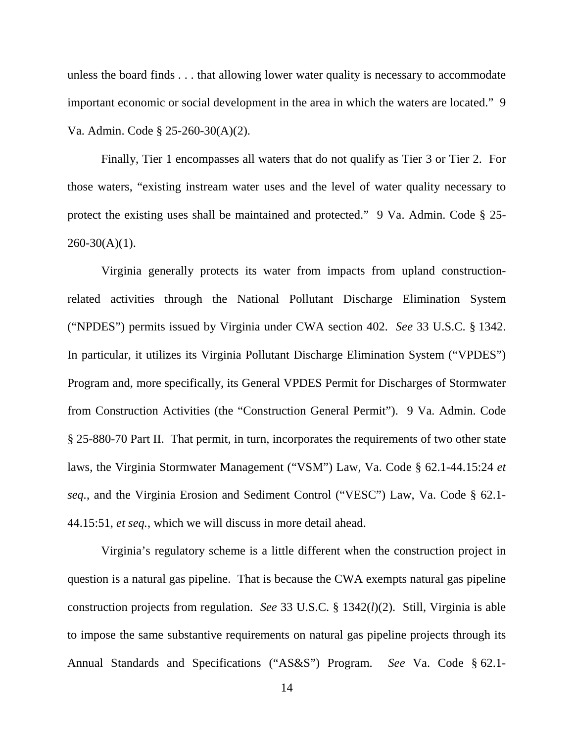unless the board finds . . . that allowing lower water quality is necessary to accommodate important economic or social development in the area in which the waters are located." 9 Va. Admin. Code § 25-260-30(A)(2).

Finally, Tier 1 encompasses all waters that do not qualify as Tier 3 or Tier 2. For those waters, "existing instream water uses and the level of water quality necessary to protect the existing uses shall be maintained and protected." 9 Va. Admin. Code § 25-  $260-30(A)(1)$ .

Virginia generally protects its water from impacts from upland constructionrelated activities through the National Pollutant Discharge Elimination System ("NPDES") permits issued by Virginia under CWA section 402. *See* 33 U.S.C. § 1342. In particular, it utilizes its Virginia Pollutant Discharge Elimination System ("VPDES") Program and, more specifically, its General VPDES Permit for Discharges of Stormwater from Construction Activities (the "Construction General Permit"). 9 Va. Admin. Code § 25-880-70 Part II. That permit, in turn, incorporates the requirements of two other state laws, the Virginia Stormwater Management ("VSM") Law, Va. Code § 62.1-44.15:24 *et seq.*, and the Virginia Erosion and Sediment Control ("VESC") Law, Va. Code § 62.1- 44.15:51, *et seq.*, which we will discuss in more detail ahead.

Virginia's regulatory scheme is a little different when the construction project in question is a natural gas pipeline. That is because the CWA exempts natural gas pipeline construction projects from regulation. *See* 33 U.S.C. § 1342(*l*)(2). Still, Virginia is able to impose the same substantive requirements on natural gas pipeline projects through its Annual Standards and Specifications ("AS&S") Program. *See* Va. Code § 62.1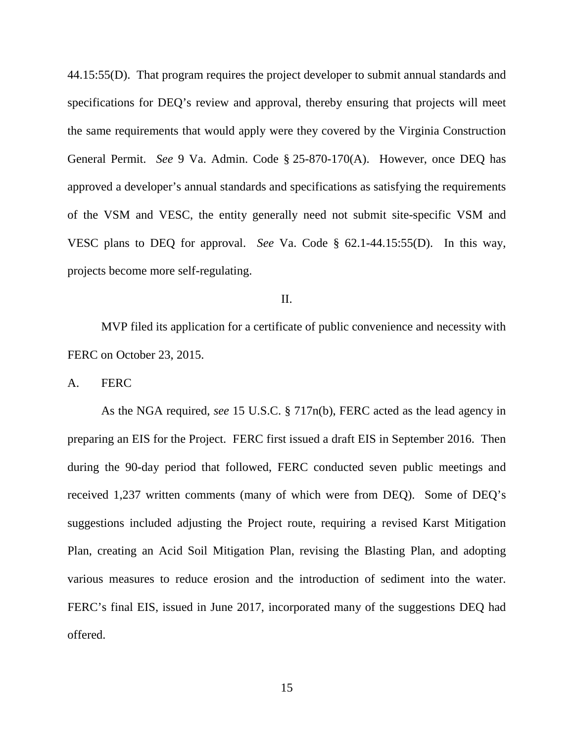44.15:55(D). That program requires the project developer to submit annual standards and specifications for DEQ's review and approval, thereby ensuring that projects will meet the same requirements that would apply were they covered by the Virginia Construction General Permit. *See* 9 Va. Admin. Code § 25-870-170(A). However, once DEQ has approved a developer's annual standards and specifications as satisfying the requirements of the VSM and VESC, the entity generally need not submit site-specific VSM and VESC plans to DEQ for approval. *See* Va. Code § 62.1-44.15:55(D). In this way, projects become more self-regulating.

II.

MVP filed its application for a certificate of public convenience and necessity with FERC on October 23, 2015.

A. FERC

As the NGA required, *see* 15 U.S.C. § 717n(b), FERC acted as the lead agency in preparing an EIS for the Project. FERC first issued a draft EIS in September 2016. Then during the 90-day period that followed, FERC conducted seven public meetings and received 1,237 written comments (many of which were from DEQ). Some of DEQ's suggestions included adjusting the Project route, requiring a revised Karst Mitigation Plan, creating an Acid Soil Mitigation Plan, revising the Blasting Plan, and adopting various measures to reduce erosion and the introduction of sediment into the water. FERC's final EIS, issued in June 2017, incorporated many of the suggestions DEQ had offered.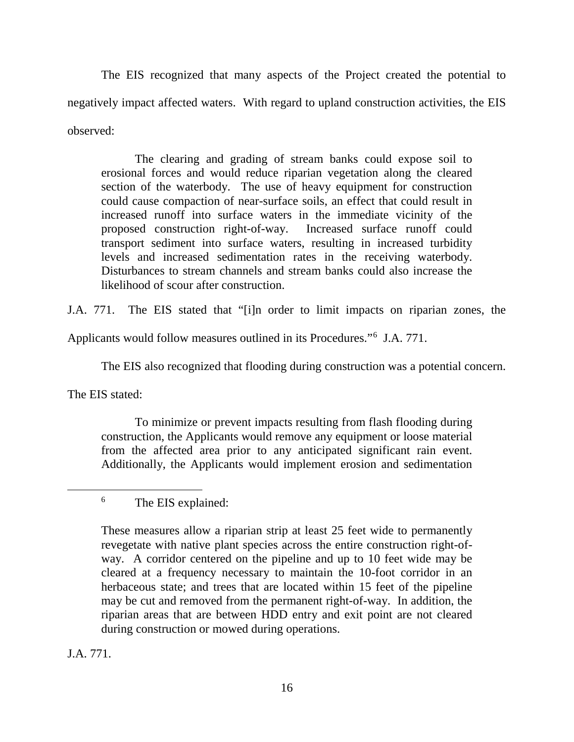The EIS recognized that many aspects of the Project created the potential to negatively impact affected waters. With regard to upland construction activities, the EIS observed:

The clearing and grading of stream banks could expose soil to erosional forces and would reduce riparian vegetation along the cleared section of the waterbody. The use of heavy equipment for construction could cause compaction of near-surface soils, an effect that could result in increased runoff into surface waters in the immediate vicinity of the proposed construction right-of-way. Increased surface runoff could transport sediment into surface waters, resulting in increased turbidity levels and increased sedimentation rates in the receiving waterbody. Disturbances to stream channels and stream banks could also increase the likelihood of scour after construction.

J.A. 771. The EIS stated that "[i]n order to limit impacts on riparian zones, the

Applicants would follow measures outlined in its Procedures."[6](#page-15-0) J.A. 771.

The EIS also recognized that flooding during construction was a potential concern.

The EIS stated:

To minimize or prevent impacts resulting from flash flooding during construction, the Applicants would remove any equipment or loose material from the affected area prior to any anticipated significant rain event. Additionally, the Applicants would implement erosion and sedimentation

# <span id="page-15-0"></span>6 The EIS explained:

These measures allow a riparian strip at least 25 feet wide to permanently revegetate with native plant species across the entire construction right-ofway. A corridor centered on the pipeline and up to 10 feet wide may be cleared at a frequency necessary to maintain the 10-foot corridor in an herbaceous state; and trees that are located within 15 feet of the pipeline may be cut and removed from the permanent right-of-way. In addition, the riparian areas that are between HDD entry and exit point are not cleared during construction or mowed during operations.

J.A. 771.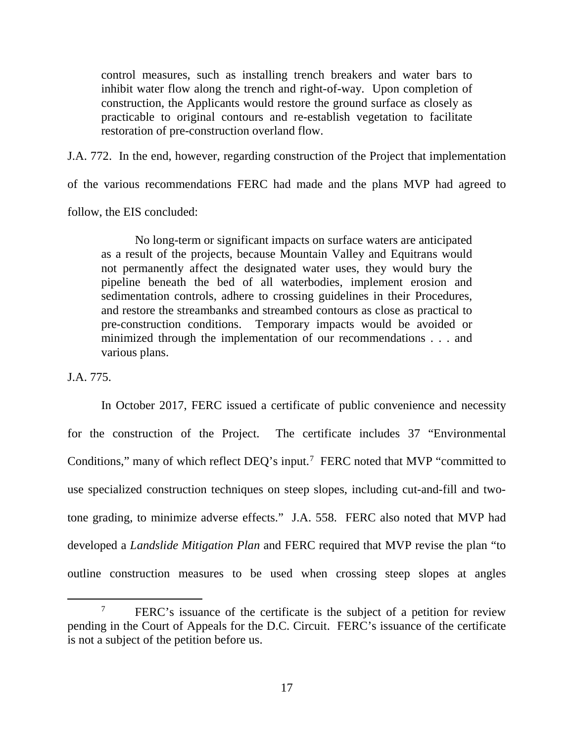control measures, such as installing trench breakers and water bars to inhibit water flow along the trench and right-of-way. Upon completion of construction, the Applicants would restore the ground surface as closely as practicable to original contours and re-establish vegetation to facilitate restoration of pre-construction overland flow.

J.A. 772. In the end, however, regarding construction of the Project that implementation

of the various recommendations FERC had made and the plans MVP had agreed to

follow, the EIS concluded:

No long-term or significant impacts on surface waters are anticipated as a result of the projects, because Mountain Valley and Equitrans would not permanently affect the designated water uses, they would bury the pipeline beneath the bed of all waterbodies, implement erosion and sedimentation controls, adhere to crossing guidelines in their Procedures, and restore the streambanks and streambed contours as close as practical to pre-construction conditions. Temporary impacts would be avoided or minimized through the implementation of our recommendations . . . and various plans.

## J.A. 775.

In October 2017, FERC issued a certificate of public convenience and necessity for the construction of the Project. The certificate includes 37 "Environmental Conditions," many of which reflect  $DEQ$ 's input.<sup>[7](#page-16-0)</sup> FERC noted that MVP "committed to use specialized construction techniques on steep slopes, including cut-and-fill and twotone grading, to minimize adverse effects." J.A. 558. FERC also noted that MVP had developed a *Landslide Mitigation Plan* and FERC required that MVP revise the plan "to outline construction measures to be used when crossing steep slopes at angles

<span id="page-16-0"></span><sup>&</sup>lt;sup>7</sup> FERC's issuance of the certificate is the subject of a petition for review pending in the Court of Appeals for the D.C. Circuit. FERC's issuance of the certificate is not a subject of the petition before us.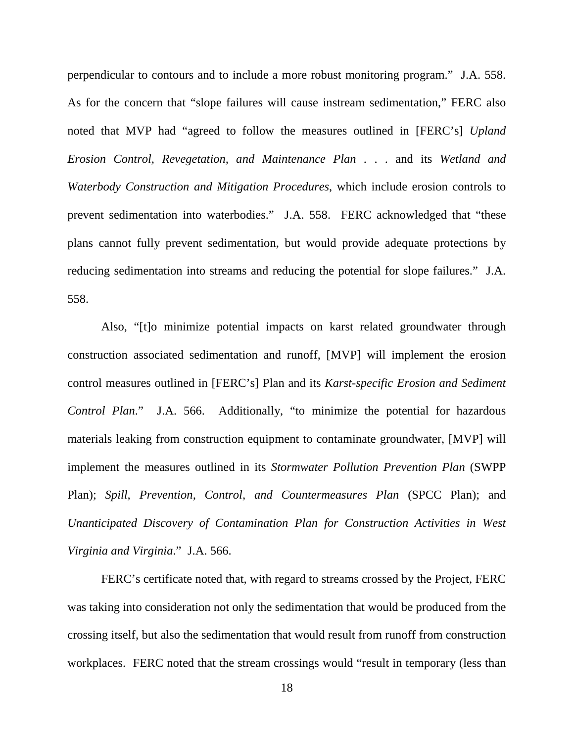perpendicular to contours and to include a more robust monitoring program." J.A. 558. As for the concern that "slope failures will cause instream sedimentation," FERC also noted that MVP had "agreed to follow the measures outlined in [FERC's] *Upland Erosion Control, Revegetation, and Maintenance Plan* . . . and its *Wetland and Waterbody Construction and Mitigation Procedures*, which include erosion controls to prevent sedimentation into waterbodies." J.A. 558. FERC acknowledged that "these plans cannot fully prevent sedimentation, but would provide adequate protections by reducing sedimentation into streams and reducing the potential for slope failures." J.A. 558.

Also, "[t]o minimize potential impacts on karst related groundwater through construction associated sedimentation and runoff, [MVP] will implement the erosion control measures outlined in [FERC's] Plan and its *Karst-specific Erosion and Sediment Control Plan*." J.A. 566. Additionally, "to minimize the potential for hazardous materials leaking from construction equipment to contaminate groundwater, [MVP] will implement the measures outlined in its *Stormwater Pollution Prevention Plan* (SWPP Plan); *Spill, Prevention, Control, and Countermeasures Plan* (SPCC Plan); and *Unanticipated Discovery of Contamination Plan for Construction Activities in West Virginia and Virginia*." J.A. 566.

FERC's certificate noted that, with regard to streams crossed by the Project, FERC was taking into consideration not only the sedimentation that would be produced from the crossing itself, but also the sedimentation that would result from runoff from construction workplaces. FERC noted that the stream crossings would "result in temporary (less than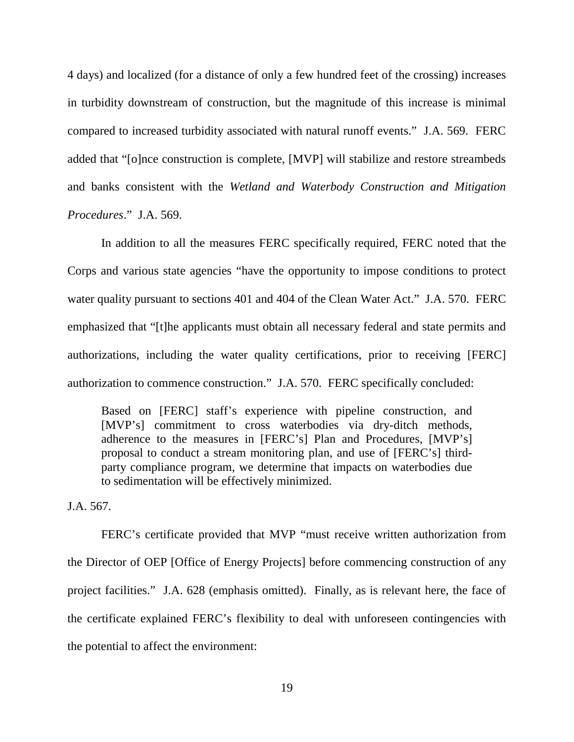4 days) and localized (for a distance of only a few hundred feet of the crossing) increases in turbidity downstream of construction, but the magnitude of this increase is minimal compared to increased turbidity associated with natural runoff events." J.A. 569. FERC added that "[o]nce construction is complete, [MVP] will stabilize and restore streambeds and banks consistent with the *Wetland and Waterbody Construction and Mitigation Procedures*." J.A. 569.

In addition to all the measures FERC specifically required, FERC noted that the Corps and various state agencies "have the opportunity to impose conditions to protect water quality pursuant to sections 401 and 404 of the Clean Water Act." J.A. 570. FERC emphasized that "[t]he applicants must obtain all necessary federal and state permits and authorizations, including the water quality certifications, prior to receiving [FERC] authorization to commence construction." J.A. 570. FERC specifically concluded:

Based on [FERC] staff's experience with pipeline construction, and [MVP's] commitment to cross waterbodies via dry-ditch methods, adherence to the measures in [FERC's] Plan and Procedures, [MVP's] proposal to conduct a stream monitoring plan, and use of [FERC's] thirdparty compliance program, we determine that impacts on waterbodies due to sedimentation will be effectively minimized.

J.A. 567.

FERC's certificate provided that MVP "must receive written authorization from the Director of OEP [Office of Energy Projects] before commencing construction of any project facilities." J.A. 628 (emphasis omitted). Finally, as is relevant here, the face of the certificate explained FERC's flexibility to deal with unforeseen contingencies with the potential to affect the environment: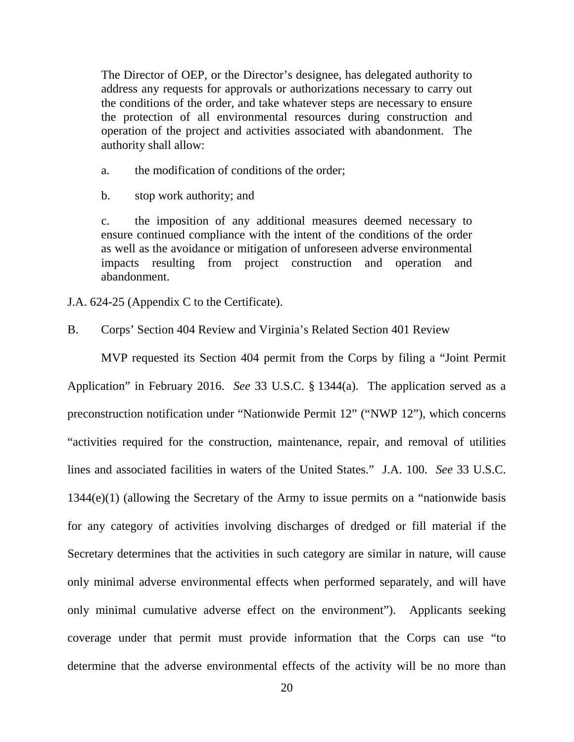The Director of OEP, or the Director's designee, has delegated authority to address any requests for approvals or authorizations necessary to carry out the conditions of the order, and take whatever steps are necessary to ensure the protection of all environmental resources during construction and operation of the project and activities associated with abandonment. The authority shall allow:

- a. the modification of conditions of the order;
- b. stop work authority; and

c. the imposition of any additional measures deemed necessary to ensure continued compliance with the intent of the conditions of the order as well as the avoidance or mitigation of unforeseen adverse environmental impacts resulting from project construction and operation and abandonment.

J.A. 624-25 (Appendix C to the Certificate).

B. Corps' Section 404 Review and Virginia's Related Section 401 Review

MVP requested its Section 404 permit from the Corps by filing a "Joint Permit Application" in February 2016. *See* 33 U.S.C. § 1344(a). The application served as a preconstruction notification under "Nationwide Permit 12" ("NWP 12"), which concerns "activities required for the construction, maintenance, repair, and removal of utilities lines and associated facilities in waters of the United States." J.A. 100. *See* 33 U.S.C. 1344(e)(1) (allowing the Secretary of the Army to issue permits on a "nationwide basis for any category of activities involving discharges of dredged or fill material if the Secretary determines that the activities in such category are similar in nature, will cause only minimal adverse environmental effects when performed separately, and will have only minimal cumulative adverse effect on the environment"). Applicants seeking coverage under that permit must provide information that the Corps can use "to determine that the adverse environmental effects of the activity will be no more than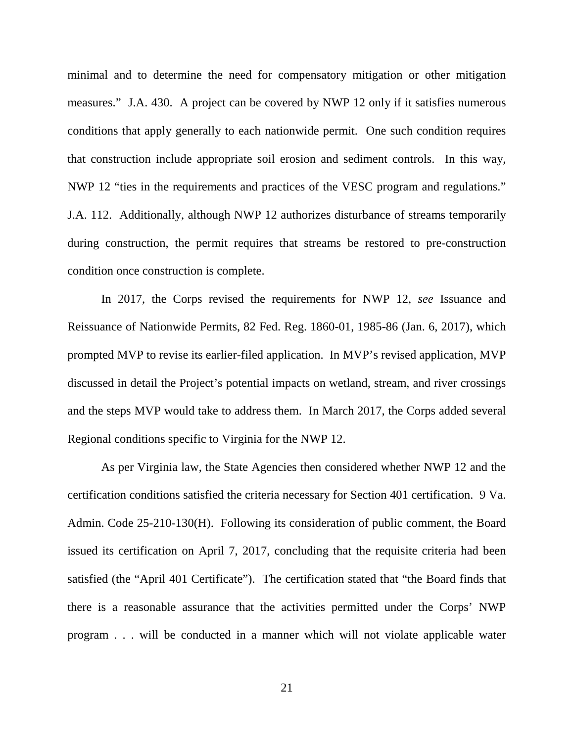minimal and to determine the need for compensatory mitigation or other mitigation measures." J.A. 430. A project can be covered by NWP 12 only if it satisfies numerous conditions that apply generally to each nationwide permit. One such condition requires that construction include appropriate soil erosion and sediment controls. In this way, NWP 12 "ties in the requirements and practices of the VESC program and regulations." J.A. 112. Additionally, although NWP 12 authorizes disturbance of streams temporarily during construction, the permit requires that streams be restored to pre-construction condition once construction is complete.

In 2017, the Corps revised the requirements for NWP 12, *see* Issuance and Reissuance of Nationwide Permits, 82 Fed. Reg. 1860-01, 1985-86 (Jan. 6, 2017), which prompted MVP to revise its earlier-filed application. In MVP's revised application, MVP discussed in detail the Project's potential impacts on wetland, stream, and river crossings and the steps MVP would take to address them. In March 2017, the Corps added several Regional conditions specific to Virginia for the NWP 12.

As per Virginia law, the State Agencies then considered whether NWP 12 and the certification conditions satisfied the criteria necessary for Section 401 certification. 9 Va. Admin. Code 25-210-130(H). Following its consideration of public comment, the Board issued its certification on April 7, 2017, concluding that the requisite criteria had been satisfied (the "April 401 Certificate"). The certification stated that "the Board finds that there is a reasonable assurance that the activities permitted under the Corps' NWP program . . . will be conducted in a manner which will not violate applicable water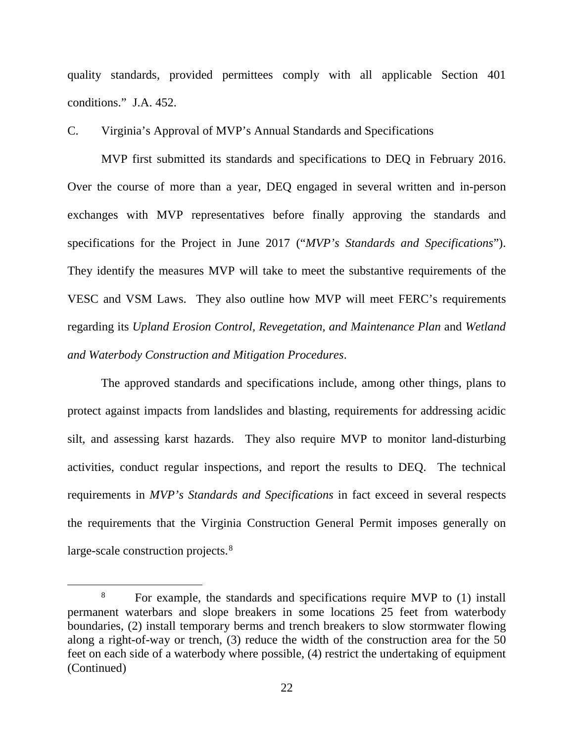quality standards, provided permittees comply with all applicable Section 401 conditions." J.A. 452.

C. Virginia's Approval of MVP's Annual Standards and Specifications

MVP first submitted its standards and specifications to DEQ in February 2016. Over the course of more than a year, DEQ engaged in several written and in-person exchanges with MVP representatives before finally approving the standards and specifications for the Project in June 2017 ("*MVP's Standards and Specifications*"). They identify the measures MVP will take to meet the substantive requirements of the VESC and VSM Laws. They also outline how MVP will meet FERC's requirements regarding its *Upland Erosion Control, Revegetation, and Maintenance Plan* and *Wetland and Waterbody Construction and Mitigation Procedures*.

The approved standards and specifications include, among other things, plans to protect against impacts from landslides and blasting, requirements for addressing acidic silt, and assessing karst hazards. They also require MVP to monitor land-disturbing activities, conduct regular inspections, and report the results to DEQ. The technical requirements in *MVP's Standards and Specifications* in fact exceed in several respects the requirements that the Virginia Construction General Permit imposes generally on large-scale construction projects.<sup>[8](#page-21-0)</sup>

<span id="page-21-0"></span><sup>&</sup>lt;sup>8</sup> For example, the standards and specifications require MVP to (1) install permanent waterbars and slope breakers in some locations 25 feet from waterbody boundaries, (2) install temporary berms and trench breakers to slow stormwater flowing along a right-of-way or trench, (3) reduce the width of the construction area for the 50 feet on each side of a waterbody where possible, (4) restrict the undertaking of equipment (Continued)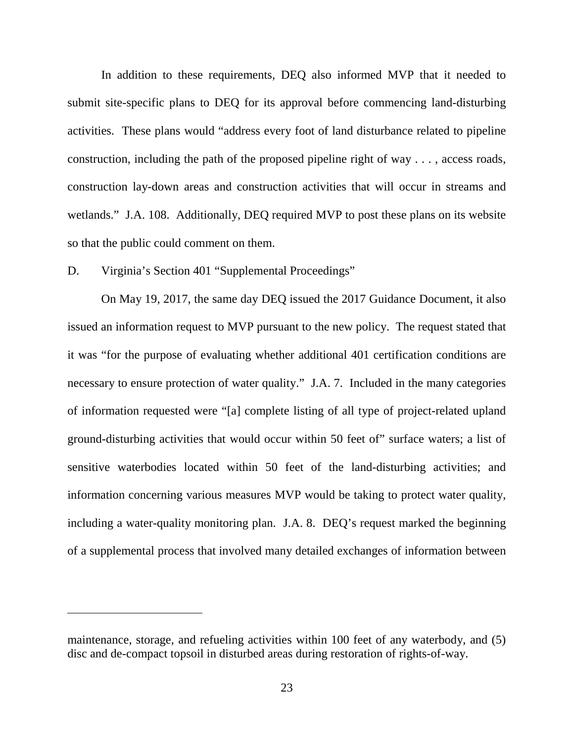In addition to these requirements, DEQ also informed MVP that it needed to submit site-specific plans to DEQ for its approval before commencing land-disturbing activities. These plans would "address every foot of land disturbance related to pipeline construction, including the path of the proposed pipeline right of way . . . , access roads, construction lay-down areas and construction activities that will occur in streams and wetlands." J.A. 108. Additionally, DEQ required MVP to post these plans on its website so that the public could comment on them.

D. Virginia's Section 401 "Supplemental Proceedings"

 $\overline{a}$ 

On May 19, 2017, the same day DEQ issued the 2017 Guidance Document, it also issued an information request to MVP pursuant to the new policy. The request stated that it was "for the purpose of evaluating whether additional 401 certification conditions are necessary to ensure protection of water quality." J.A. 7. Included in the many categories of information requested were "[a] complete listing of all type of project-related upland ground-disturbing activities that would occur within 50 feet of" surface waters; a list of sensitive waterbodies located within 50 feet of the land-disturbing activities; and information concerning various measures MVP would be taking to protect water quality, including a water-quality monitoring plan. J.A. 8. DEQ's request marked the beginning of a supplemental process that involved many detailed exchanges of information between

maintenance, storage, and refueling activities within 100 feet of any waterbody, and (5) disc and de-compact topsoil in disturbed areas during restoration of rights-of-way.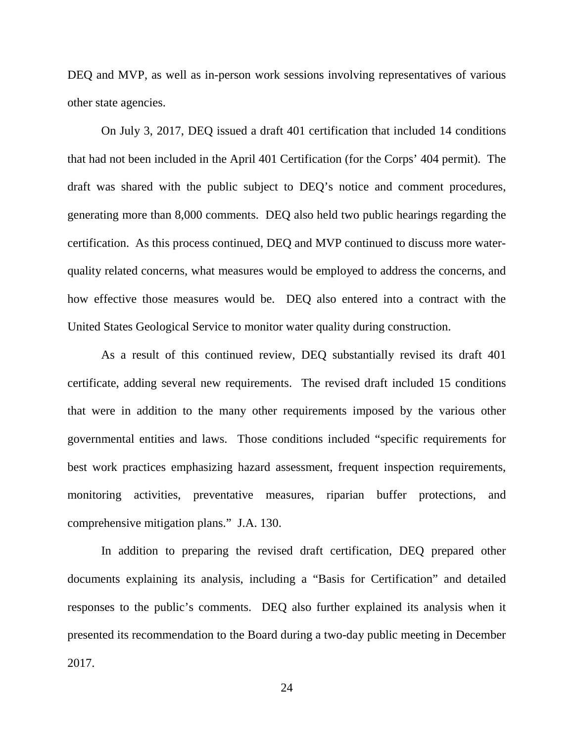DEQ and MVP, as well as in-person work sessions involving representatives of various other state agencies.

On July 3, 2017, DEQ issued a draft 401 certification that included 14 conditions that had not been included in the April 401 Certification (for the Corps' 404 permit). The draft was shared with the public subject to DEQ's notice and comment procedures, generating more than 8,000 comments. DEQ also held two public hearings regarding the certification. As this process continued, DEQ and MVP continued to discuss more waterquality related concerns, what measures would be employed to address the concerns, and how effective those measures would be. DEQ also entered into a contract with the United States Geological Service to monitor water quality during construction.

As a result of this continued review, DEQ substantially revised its draft 401 certificate, adding several new requirements. The revised draft included 15 conditions that were in addition to the many other requirements imposed by the various other governmental entities and laws. Those conditions included "specific requirements for best work practices emphasizing hazard assessment, frequent inspection requirements, monitoring activities, preventative measures, riparian buffer protections, and comprehensive mitigation plans." J.A. 130.

In addition to preparing the revised draft certification, DEQ prepared other documents explaining its analysis, including a "Basis for Certification" and detailed responses to the public's comments. DEQ also further explained its analysis when it presented its recommendation to the Board during a two-day public meeting in December 2017.

24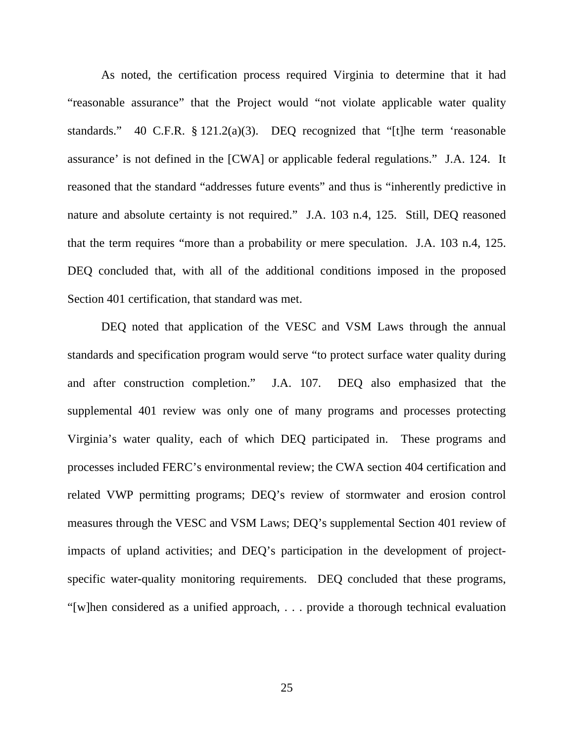As noted, the certification process required Virginia to determine that it had "reasonable assurance" that the Project would "not violate applicable water quality standards." 40 C.F.R. § 121.2(a)(3). DEQ recognized that "[t]he term 'reasonable assurance' is not defined in the [CWA] or applicable federal regulations." J.A. 124. It reasoned that the standard "addresses future events" and thus is "inherently predictive in nature and absolute certainty is not required." J.A. 103 n.4, 125. Still, DEQ reasoned that the term requires "more than a probability or mere speculation. J.A. 103 n.4, 125. DEQ concluded that, with all of the additional conditions imposed in the proposed Section 401 certification, that standard was met.

DEQ noted that application of the VESC and VSM Laws through the annual standards and specification program would serve "to protect surface water quality during and after construction completion." J.A. 107. DEQ also emphasized that the supplemental 401 review was only one of many programs and processes protecting Virginia's water quality, each of which DEQ participated in. These programs and processes included FERC's environmental review; the CWA section 404 certification and related VWP permitting programs; DEQ's review of stormwater and erosion control measures through the VESC and VSM Laws; DEQ's supplemental Section 401 review of impacts of upland activities; and DEQ's participation in the development of projectspecific water-quality monitoring requirements. DEQ concluded that these programs, "[w]hen considered as a unified approach, . . . provide a thorough technical evaluation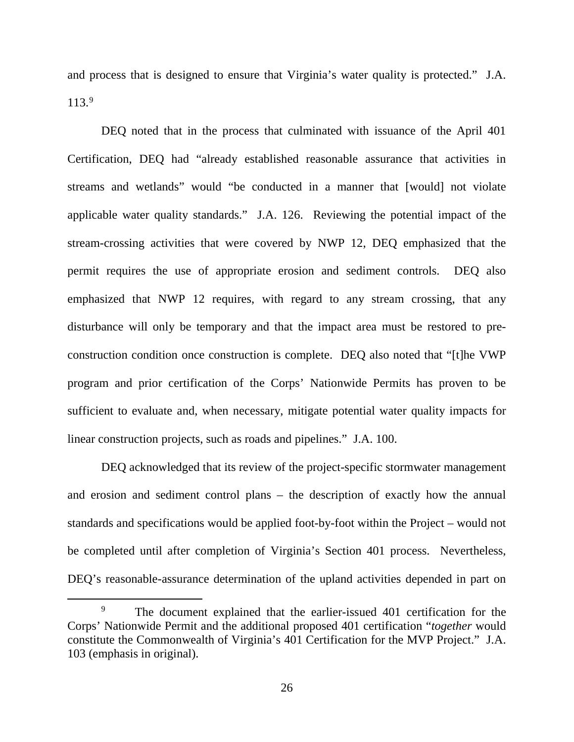and process that is designed to ensure that Virginia's water quality is protected." J.A. 113.[9](#page-25-0)

DEQ noted that in the process that culminated with issuance of the April 401 Certification, DEQ had "already established reasonable assurance that activities in streams and wetlands" would "be conducted in a manner that [would] not violate applicable water quality standards." J.A. 126. Reviewing the potential impact of the stream-crossing activities that were covered by NWP 12, DEQ emphasized that the permit requires the use of appropriate erosion and sediment controls. DEQ also emphasized that NWP 12 requires, with regard to any stream crossing, that any disturbance will only be temporary and that the impact area must be restored to preconstruction condition once construction is complete. DEQ also noted that "[t]he VWP program and prior certification of the Corps' Nationwide Permits has proven to be sufficient to evaluate and, when necessary, mitigate potential water quality impacts for linear construction projects, such as roads and pipelines." J.A. 100.

DEQ acknowledged that its review of the project-specific stormwater management and erosion and sediment control plans – the description of exactly how the annual standards and specifications would be applied foot-by-foot within the Project – would not be completed until after completion of Virginia's Section 401 process. Nevertheless, DEQ's reasonable-assurance determination of the upland activities depended in part on

<span id="page-25-0"></span>The document explained that the earlier-issued 401 certification for the Corps' Nationwide Permit and the additional proposed 401 certification "*together* would constitute the Commonwealth of Virginia's 401 Certification for the MVP Project." J.A. 103 (emphasis in original).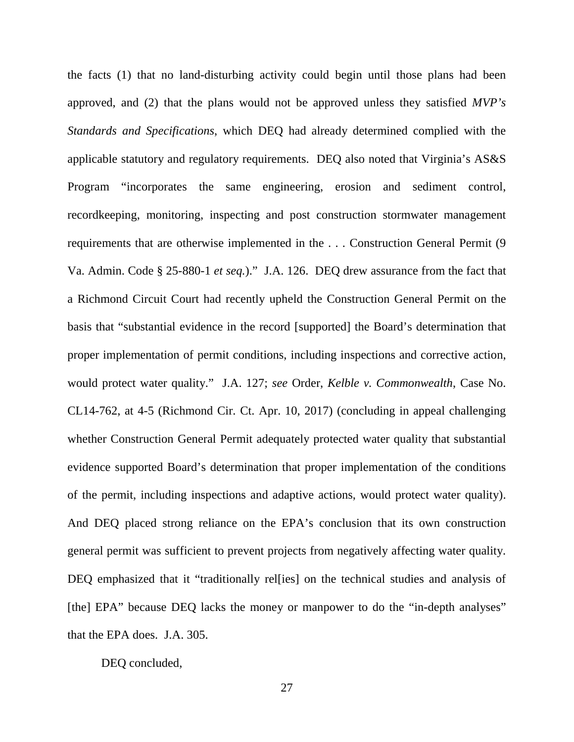the facts (1) that no land-disturbing activity could begin until those plans had been approved, and (2) that the plans would not be approved unless they satisfied *MVP's Standards and Specifications*, which DEQ had already determined complied with the applicable statutory and regulatory requirements. DEQ also noted that Virginia's AS&S Program "incorporates the same engineering, erosion and sediment control, recordkeeping, monitoring, inspecting and post construction stormwater management requirements that are otherwise implemented in the . . . Construction General Permit (9 Va. Admin. Code § 25-880-1 *et seq.*)." J.A. 126. DEQ drew assurance from the fact that a Richmond Circuit Court had recently upheld the Construction General Permit on the basis that "substantial evidence in the record [supported] the Board's determination that proper implementation of permit conditions, including inspections and corrective action, would protect water quality." J.A. 127; *see* Order, *Kelble v. Commonwealth*, Case No. CL14-762, at 4-5 (Richmond Cir. Ct. Apr. 10, 2017) (concluding in appeal challenging whether Construction General Permit adequately protected water quality that substantial evidence supported Board's determination that proper implementation of the conditions of the permit, including inspections and adaptive actions, would protect water quality). And DEQ placed strong reliance on the EPA's conclusion that its own construction general permit was sufficient to prevent projects from negatively affecting water quality. DEQ emphasized that it "traditionally rel[ies] on the technical studies and analysis of [the] EPA" because DEQ lacks the money or manpower to do the "in-depth analyses" that the EPA does. J.A. 305.

DEQ concluded,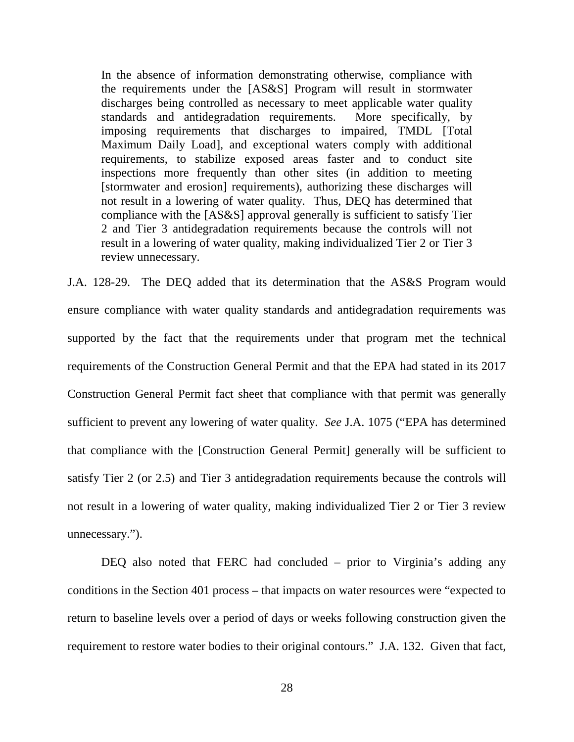In the absence of information demonstrating otherwise, compliance with the requirements under the [AS&S] Program will result in stormwater discharges being controlled as necessary to meet applicable water quality standards and antidegradation requirements. More specifically, by imposing requirements that discharges to impaired, TMDL [Total Maximum Daily Load], and exceptional waters comply with additional requirements, to stabilize exposed areas faster and to conduct site inspections more frequently than other sites (in addition to meeting [stormwater and erosion] requirements), authorizing these discharges will not result in a lowering of water quality. Thus, DEQ has determined that compliance with the [AS&S] approval generally is sufficient to satisfy Tier 2 and Tier 3 antidegradation requirements because the controls will not result in a lowering of water quality, making individualized Tier 2 or Tier 3 review unnecessary.

J.A. 128-29. The DEQ added that its determination that the AS&S Program would ensure compliance with water quality standards and antidegradation requirements was supported by the fact that the requirements under that program met the technical requirements of the Construction General Permit and that the EPA had stated in its 2017 Construction General Permit fact sheet that compliance with that permit was generally sufficient to prevent any lowering of water quality. *See* J.A. 1075 ("EPA has determined that compliance with the [Construction General Permit] generally will be sufficient to satisfy Tier 2 (or 2.5) and Tier 3 antidegradation requirements because the controls will not result in a lowering of water quality, making individualized Tier 2 or Tier 3 review unnecessary.").

DEQ also noted that FERC had concluded – prior to Virginia's adding any conditions in the Section 401 process – that impacts on water resources were "expected to return to baseline levels over a period of days or weeks following construction given the requirement to restore water bodies to their original contours." J.A. 132. Given that fact,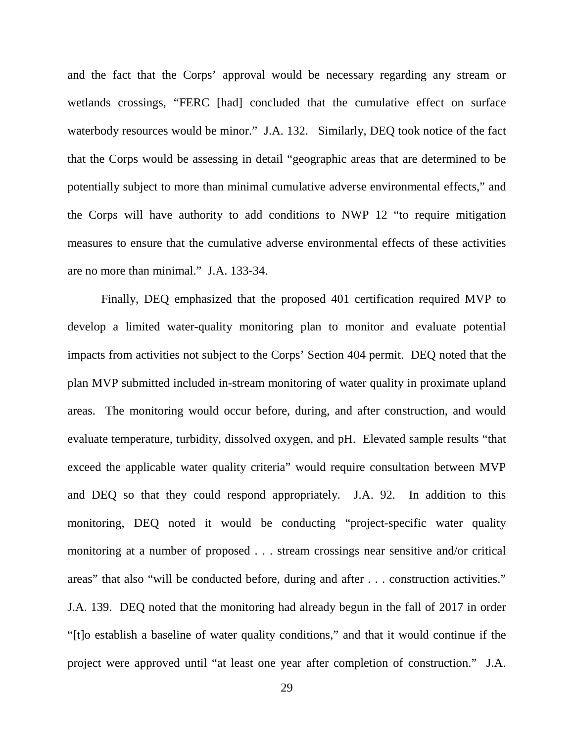and the fact that the Corps' approval would be necessary regarding any stream or wetlands crossings, "FERC [had] concluded that the cumulative effect on surface waterbody resources would be minor." J.A. 132. Similarly, DEQ took notice of the fact that the Corps would be assessing in detail "geographic areas that are determined to be potentially subject to more than minimal cumulative adverse environmental effects," and the Corps will have authority to add conditions to NWP 12 "to require mitigation measures to ensure that the cumulative adverse environmental effects of these activities are no more than minimal." J.A. 133-34.

Finally, DEQ emphasized that the proposed 401 certification required MVP to develop a limited water-quality monitoring plan to monitor and evaluate potential impacts from activities not subject to the Corps' Section 404 permit. DEQ noted that the plan MVP submitted included in-stream monitoring of water quality in proximate upland areas. The monitoring would occur before, during, and after construction, and would evaluate temperature, turbidity, dissolved oxygen, and pH. Elevated sample results "that exceed the applicable water quality criteria" would require consultation between MVP and DEQ so that they could respond appropriately. J.A. 92. In addition to this monitoring, DEQ noted it would be conducting "project-specific water quality monitoring at a number of proposed . . . stream crossings near sensitive and/or critical areas" that also "will be conducted before, during and after . . . construction activities." J.A. 139. DEQ noted that the monitoring had already begun in the fall of 2017 in order "[t]o establish a baseline of water quality conditions," and that it would continue if the project were approved until "at least one year after completion of construction." J.A.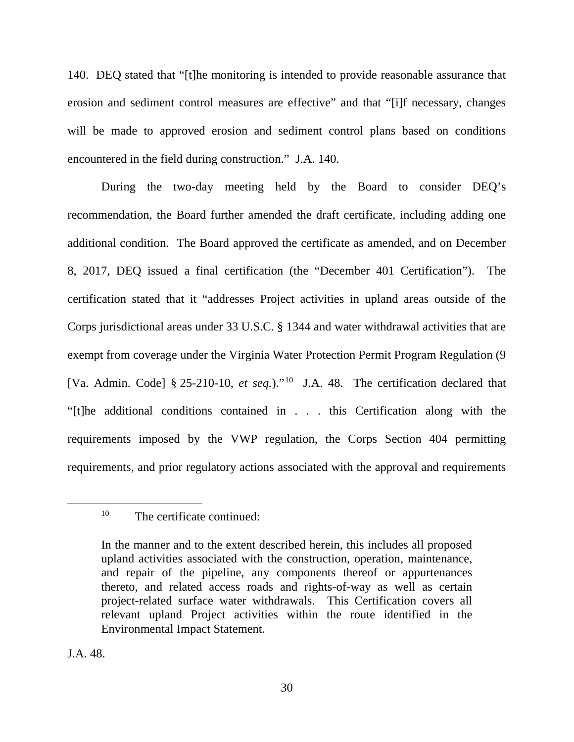140. DEQ stated that "[t]he monitoring is intended to provide reasonable assurance that erosion and sediment control measures are effective" and that "[i]f necessary, changes will be made to approved erosion and sediment control plans based on conditions encountered in the field during construction." J.A. 140.

During the two-day meeting held by the Board to consider DEQ's recommendation, the Board further amended the draft certificate, including adding one additional condition. The Board approved the certificate as amended, and on December 8, 2017, DEQ issued a final certification (the "December 401 Certification"). The certification stated that it "addresses Project activities in upland areas outside of the Corps jurisdictional areas under 33 U.S.C. § 1344 and water withdrawal activities that are exempt from coverage under the Virginia Water Protection Permit Program Regulation (9 [Va. Admin. Code] § 25-210-10, *et seq.*)."<sup>10</sup> J.A. 48. The certification declared that "[t]he additional conditions contained in . . . this Certification along with the requirements imposed by the VWP regulation, the Corps Section 404 permitting requirements, and prior regulatory actions associated with the approval and requirements

J.A. 48.

<span id="page-29-0"></span> <sup>10</sup> The certificate continued:

In the manner and to the extent described herein, this includes all proposed upland activities associated with the construction, operation, maintenance, and repair of the pipeline, any components thereof or appurtenances thereto, and related access roads and rights-of-way as well as certain project-related surface water withdrawals. This Certification covers all relevant upland Project activities within the route identified in the Environmental Impact Statement.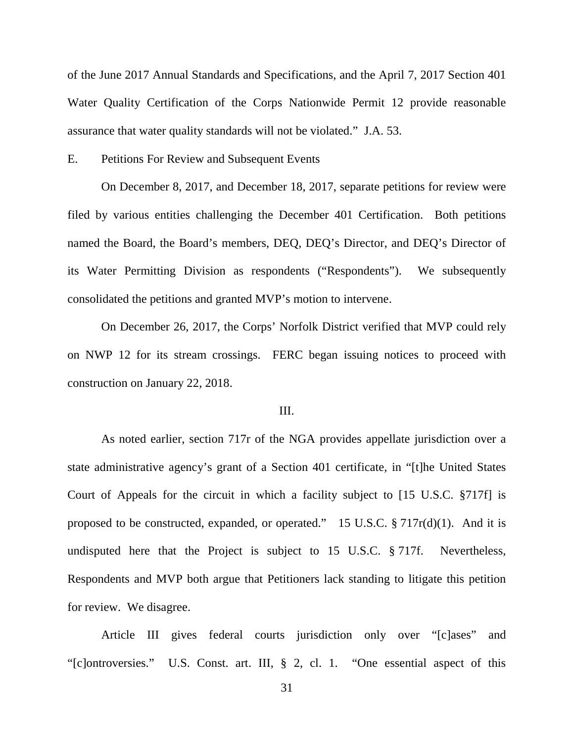of the June 2017 Annual Standards and Specifications, and the April 7, 2017 Section 401 Water Quality Certification of the Corps Nationwide Permit 12 provide reasonable assurance that water quality standards will not be violated." J.A. 53.

E. Petitions For Review and Subsequent Events

On December 8, 2017, and December 18, 2017, separate petitions for review were filed by various entities challenging the December 401 Certification. Both petitions named the Board, the Board's members, DEQ, DEQ's Director, and DEQ's Director of its Water Permitting Division as respondents ("Respondents"). We subsequently consolidated the petitions and granted MVP's motion to intervene.

On December 26, 2017, the Corps' Norfolk District verified that MVP could rely on NWP 12 for its stream crossings. FERC began issuing notices to proceed with construction on January 22, 2018.

#### III.

As noted earlier, section 717r of the NGA provides appellate jurisdiction over a state administrative agency's grant of a Section 401 certificate, in "[t]he United States Court of Appeals for the circuit in which a facility subject to [15 U.S.C. §717f] is proposed to be constructed, expanded, or operated." 15 U.S.C.  $\S 717r(d)(1)$ . And it is undisputed here that the Project is subject to 15 U.S.C. § 717f. Nevertheless, Respondents and MVP both argue that Petitioners lack standing to litigate this petition for review. We disagree.

Article III gives federal courts jurisdiction only over "[c]ases" and "[c]ontroversies." U.S. Const. art. III, § 2, cl. 1. "One essential aspect of this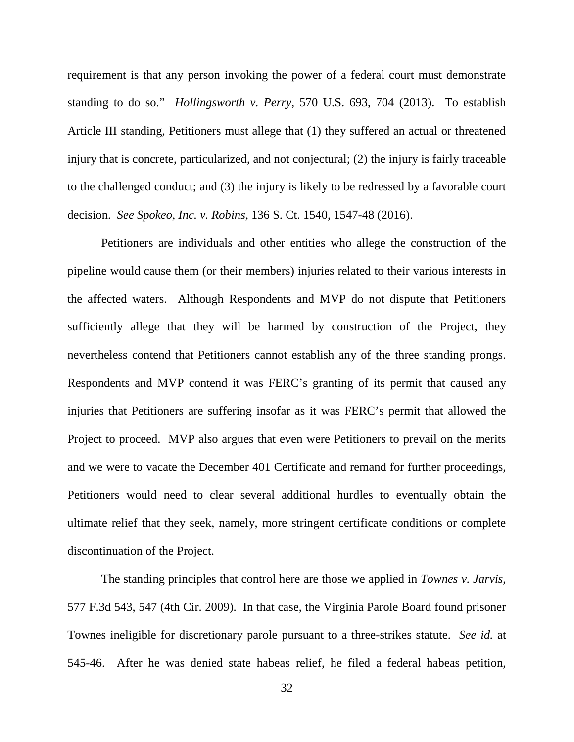requirement is that any person invoking the power of a federal court must demonstrate standing to do so." *Hollingsworth v. Perry*, 570 U.S. 693, 704 (2013). To establish Article III standing, Petitioners must allege that (1) they suffered an actual or threatened injury that is concrete, particularized, and not conjectural; (2) the injury is fairly traceable to the challenged conduct; and (3) the injury is likely to be redressed by a favorable court decision. *See Spokeo, Inc. v. Robins*, 136 S. Ct. 1540, 1547-48 (2016).

Petitioners are individuals and other entities who allege the construction of the pipeline would cause them (or their members) injuries related to their various interests in the affected waters. Although Respondents and MVP do not dispute that Petitioners sufficiently allege that they will be harmed by construction of the Project, they nevertheless contend that Petitioners cannot establish any of the three standing prongs. Respondents and MVP contend it was FERC's granting of its permit that caused any injuries that Petitioners are suffering insofar as it was FERC's permit that allowed the Project to proceed. MVP also argues that even were Petitioners to prevail on the merits and we were to vacate the December 401 Certificate and remand for further proceedings, Petitioners would need to clear several additional hurdles to eventually obtain the ultimate relief that they seek, namely, more stringent certificate conditions or complete discontinuation of the Project.

The standing principles that control here are those we applied in *Townes v. Jarvis*, 577 F.3d 543, 547 (4th Cir. 2009). In that case, the Virginia Parole Board found prisoner Townes ineligible for discretionary parole pursuant to a three-strikes statute. *See id.* at 545-46. After he was denied state habeas relief, he filed a federal habeas petition,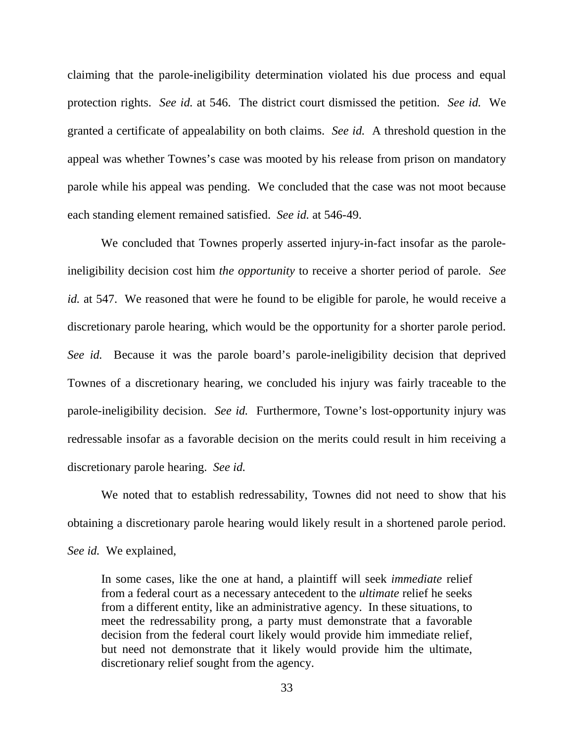claiming that the parole-ineligibility determination violated his due process and equal protection rights. *See id.* at 546. The district court dismissed the petition. *See id.* We granted a certificate of appealability on both claims. *See id.* A threshold question in the appeal was whether Townes's case was mooted by his release from prison on mandatory parole while his appeal was pending. We concluded that the case was not moot because each standing element remained satisfied. *See id.* at 546-49.

We concluded that Townes properly asserted injury-in-fact insofar as the paroleineligibility decision cost him *the opportunity* to receive a shorter period of parole. *See id.* at 547. We reasoned that were he found to be eligible for parole, he would receive a discretionary parole hearing, which would be the opportunity for a shorter parole period. *See id.* Because it was the parole board's parole-ineligibility decision that deprived Townes of a discretionary hearing, we concluded his injury was fairly traceable to the parole-ineligibility decision. *See id.* Furthermore, Towne's lost-opportunity injury was redressable insofar as a favorable decision on the merits could result in him receiving a discretionary parole hearing. *See id.*

We noted that to establish redressability, Townes did not need to show that his obtaining a discretionary parole hearing would likely result in a shortened parole period. *See id.* We explained,

In some cases, like the one at hand, a plaintiff will seek *immediate* relief from a federal court as a necessary antecedent to the *ultimate* relief he seeks from a different entity, like an administrative agency. In these situations, to meet the redressability prong, a party must demonstrate that a favorable decision from the federal court likely would provide him immediate relief, but need not demonstrate that it likely would provide him the ultimate, discretionary relief sought from the agency.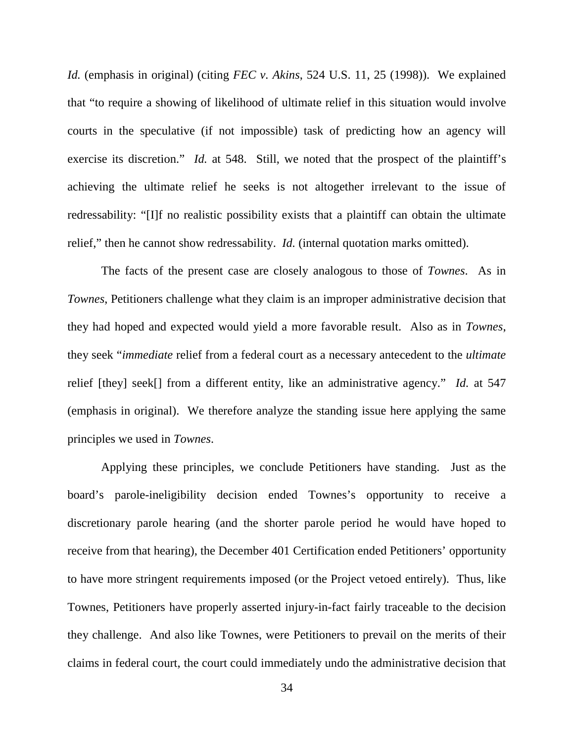*Id.* (emphasis in original) (citing *FEC v. Akins*, 524 U.S. 11, 25 (1998)). We explained that "to require a showing of likelihood of ultimate relief in this situation would involve courts in the speculative (if not impossible) task of predicting how an agency will exercise its discretion." *Id.* at 548. Still, we noted that the prospect of the plaintiff's achieving the ultimate relief he seeks is not altogether irrelevant to the issue of redressability: "[I]f no realistic possibility exists that a plaintiff can obtain the ultimate relief," then he cannot show redressability. *Id.* (internal quotation marks omitted).

The facts of the present case are closely analogous to those of *Townes*. As in *Townes*, Petitioners challenge what they claim is an improper administrative decision that they had hoped and expected would yield a more favorable result. Also as in *Townes*, they seek "*immediate* relief from a federal court as a necessary antecedent to the *ultimate* relief [they] seek[] from a different entity, like an administrative agency." *Id.* at 547 (emphasis in original). We therefore analyze the standing issue here applying the same principles we used in *Townes*.

Applying these principles, we conclude Petitioners have standing. Just as the board's parole-ineligibility decision ended Townes's opportunity to receive a discretionary parole hearing (and the shorter parole period he would have hoped to receive from that hearing), the December 401 Certification ended Petitioners' opportunity to have more stringent requirements imposed (or the Project vetoed entirely). Thus, like Townes, Petitioners have properly asserted injury-in-fact fairly traceable to the decision they challenge. And also like Townes, were Petitioners to prevail on the merits of their claims in federal court, the court could immediately undo the administrative decision that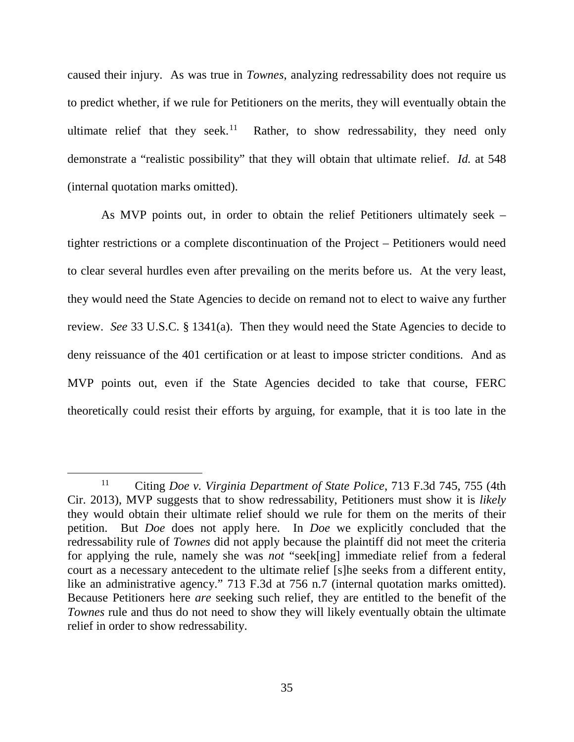caused their injury. As was true in *Townes*, analyzing redressability does not require us to predict whether, if we rule for Petitioners on the merits, they will eventually obtain the ultimate relief that they seek. $11$ Rather, to show redressability, they need only demonstrate a "realistic possibility" that they will obtain that ultimate relief. *Id.* at 548 (internal quotation marks omitted).

As MVP points out, in order to obtain the relief Petitioners ultimately seek – tighter restrictions or a complete discontinuation of the Project – Petitioners would need to clear several hurdles even after prevailing on the merits before us. At the very least, they would need the State Agencies to decide on remand not to elect to waive any further review. *See* 33 U.S.C. § 1341(a). Then they would need the State Agencies to decide to deny reissuance of the 401 certification or at least to impose stricter conditions. And as MVP points out, even if the State Agencies decided to take that course, FERC theoretically could resist their efforts by arguing, for example, that it is too late in the

<span id="page-34-0"></span> <sup>11</sup> Citing *Doe v. Virginia Department of State Police*, 713 F.3d 745, 755 (4th Cir. 2013), MVP suggests that to show redressability, Petitioners must show it is *likely* they would obtain their ultimate relief should we rule for them on the merits of their petition. But *Doe* does not apply here. In *Doe* we explicitly concluded that the redressability rule of *Townes* did not apply because the plaintiff did not meet the criteria for applying the rule, namely she was *not* "seek[ing] immediate relief from a federal court as a necessary antecedent to the ultimate relief [s]he seeks from a different entity, like an administrative agency." 713 F.3d at 756 n.7 (internal quotation marks omitted). Because Petitioners here *are* seeking such relief, they are entitled to the benefit of the *Townes* rule and thus do not need to show they will likely eventually obtain the ultimate relief in order to show redressability.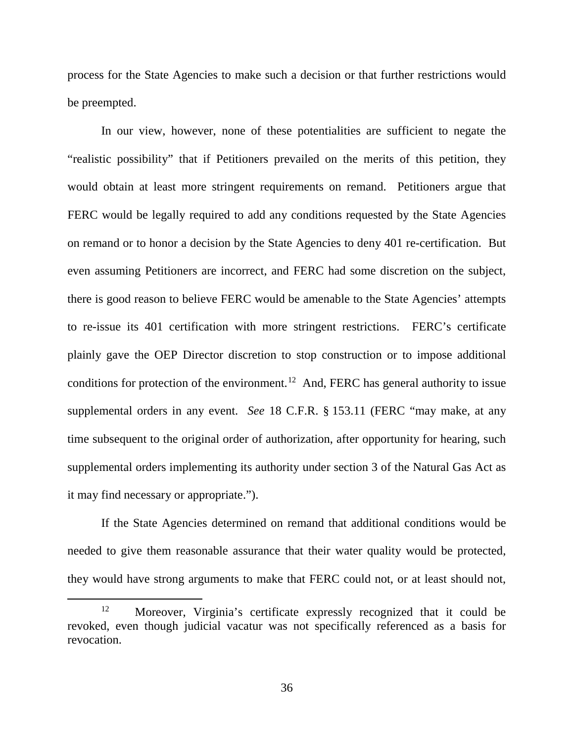process for the State Agencies to make such a decision or that further restrictions would be preempted.

In our view, however, none of these potentialities are sufficient to negate the "realistic possibility" that if Petitioners prevailed on the merits of this petition, they would obtain at least more stringent requirements on remand. Petitioners argue that FERC would be legally required to add any conditions requested by the State Agencies on remand or to honor a decision by the State Agencies to deny 401 re-certification. But even assuming Petitioners are incorrect, and FERC had some discretion on the subject, there is good reason to believe FERC would be amenable to the State Agencies' attempts to re-issue its 401 certification with more stringent restrictions. FERC's certificate plainly gave the OEP Director discretion to stop construction or to impose additional conditions for protection of the environment.<sup>[12](#page-35-0)</sup> And, FERC has general authority to issue supplemental orders in any event. *See* 18 C.F.R. § 153.11 (FERC "may make, at any time subsequent to the original order of authorization, after opportunity for hearing, such supplemental orders implementing its authority under section 3 of the Natural Gas Act as it may find necessary or appropriate.").

If the State Agencies determined on remand that additional conditions would be needed to give them reasonable assurance that their water quality would be protected, they would have strong arguments to make that FERC could not, or at least should not,

<span id="page-35-0"></span><sup>&</sup>lt;sup>12</sup> Moreover, Virginia's certificate expressly recognized that it could be revoked, even though judicial vacatur was not specifically referenced as a basis for revocation.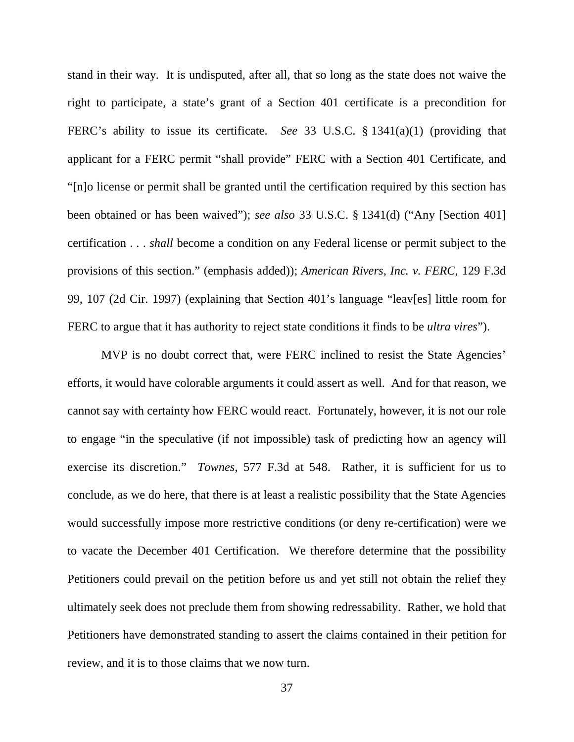stand in their way. It is undisputed, after all, that so long as the state does not waive the right to participate, a state's grant of a Section 401 certificate is a precondition for FERC's ability to issue its certificate. *See* 33 U.S.C. § 1341(a)(1) (providing that applicant for a FERC permit "shall provide" FERC with a Section 401 Certificate, and "[n]o license or permit shall be granted until the certification required by this section has been obtained or has been waived"); *see also* 33 U.S.C. § 1341(d) ("Any [Section 401] certification . . . *shall* become a condition on any Federal license or permit subject to the provisions of this section." (emphasis added)); *American Rivers, Inc. v. FERC*, 129 F.3d 99, 107 (2d Cir. 1997) (explaining that Section 401's language "leav[es] little room for FERC to argue that it has authority to reject state conditions it finds to be *ultra vires*").

MVP is no doubt correct that, were FERC inclined to resist the State Agencies' efforts, it would have colorable arguments it could assert as well. And for that reason, we cannot say with certainty how FERC would react. Fortunately, however, it is not our role to engage "in the speculative (if not impossible) task of predicting how an agency will exercise its discretion." *Townes*, 577 F.3d at 548. Rather, it is sufficient for us to conclude, as we do here, that there is at least a realistic possibility that the State Agencies would successfully impose more restrictive conditions (or deny re-certification) were we to vacate the December 401 Certification. We therefore determine that the possibility Petitioners could prevail on the petition before us and yet still not obtain the relief they ultimately seek does not preclude them from showing redressability. Rather, we hold that Petitioners have demonstrated standing to assert the claims contained in their petition for review, and it is to those claims that we now turn.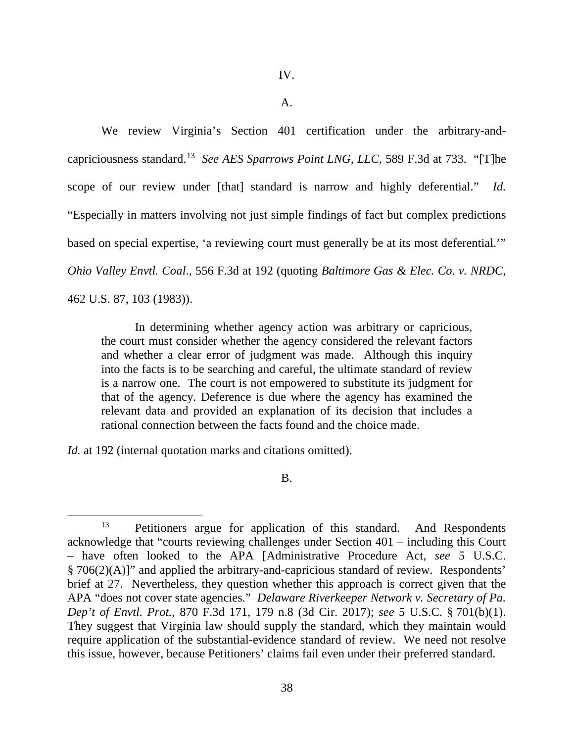#### A.

We review Virginia's Section 401 certification under the arbitrary-andcapriciousness standard.[13](#page-37-0) *See AES Sparrows Point LNG, LLC*, 589 F.3d at 733. "[T]he scope of our review under [that] standard is narrow and highly deferential." *Id.* "Especially in matters involving not just simple findings of fact but complex predictions based on special expertise, 'a reviewing court must generally be at its most deferential.'" *Ohio Valley Envtl. Coal*., 556 F.3d at 192 (quoting *Baltimore Gas & Elec. Co. v. NRDC*, 462 U.S. 87, 103 (1983)).

In determining whether agency action was arbitrary or capricious, the court must consider whether the agency considered the relevant factors and whether a clear error of judgment was made. Although this inquiry into the facts is to be searching and careful, the ultimate standard of review is a narrow one. The court is not empowered to substitute its judgment for that of the agency. Deference is due where the agency has examined the relevant data and provided an explanation of its decision that includes a rational connection between the facts found and the choice made.

*Id.* at 192 (internal quotation marks and citations omitted).

# B.

<span id="page-37-0"></span><sup>&</sup>lt;sup>13</sup> Petitioners argue for application of this standard. And Respondents acknowledge that "courts reviewing challenges under Section 401 – including this Court – have often looked to the APA [Administrative Procedure Act, *see* 5 U.S.C. § 706(2)(A)]" and applied the arbitrary-and-capricious standard of review. Respondents' brief at 27. Nevertheless, they question whether this approach is correct given that the APA "does not cover state agencies." *Delaware Riverkeeper Network v. Secretary of Pa. Dep't of Envtl. Prot.*, 870 F.3d 171, 179 n.8 (3d Cir. 2017); *see* 5 U.S.C. § 701(b)(1). They suggest that Virginia law should supply the standard, which they maintain would require application of the substantial-evidence standard of review. We need not resolve this issue, however, because Petitioners' claims fail even under their preferred standard.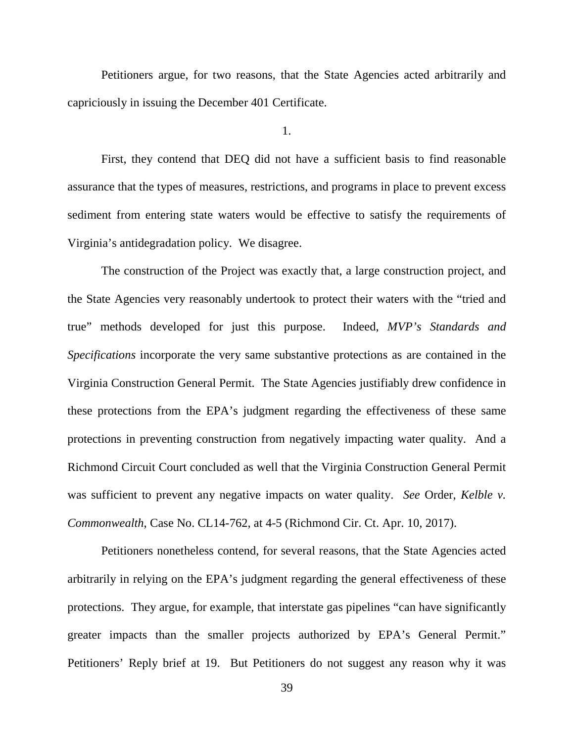Petitioners argue, for two reasons, that the State Agencies acted arbitrarily and capriciously in issuing the December 401 Certificate.

1.

First, they contend that DEQ did not have a sufficient basis to find reasonable assurance that the types of measures, restrictions, and programs in place to prevent excess sediment from entering state waters would be effective to satisfy the requirements of Virginia's antidegradation policy. We disagree.

The construction of the Project was exactly that, a large construction project, and the State Agencies very reasonably undertook to protect their waters with the "tried and true" methods developed for just this purpose. Indeed, *MVP's Standards and Specifications* incorporate the very same substantive protections as are contained in the Virginia Construction General Permit. The State Agencies justifiably drew confidence in these protections from the EPA's judgment regarding the effectiveness of these same protections in preventing construction from negatively impacting water quality. And a Richmond Circuit Court concluded as well that the Virginia Construction General Permit was sufficient to prevent any negative impacts on water quality. *See* Order, *Kelble v. Commonwealth*, Case No. CL14-762, at 4-5 (Richmond Cir. Ct. Apr. 10, 2017).

Petitioners nonetheless contend, for several reasons, that the State Agencies acted arbitrarily in relying on the EPA's judgment regarding the general effectiveness of these protections. They argue, for example, that interstate gas pipelines "can have significantly greater impacts than the smaller projects authorized by EPA's General Permit." Petitioners' Reply brief at 19. But Petitioners do not suggest any reason why it was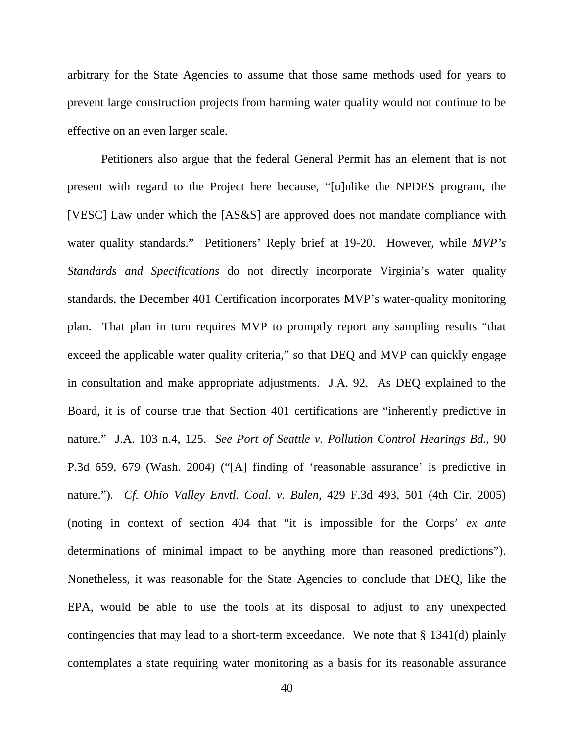arbitrary for the State Agencies to assume that those same methods used for years to prevent large construction projects from harming water quality would not continue to be effective on an even larger scale.

Petitioners also argue that the federal General Permit has an element that is not present with regard to the Project here because, "[u]nlike the NPDES program, the [VESC] Law under which the [AS&S] are approved does not mandate compliance with water quality standards." Petitioners' Reply brief at 19-20. However, while *MVP's Standards and Specifications* do not directly incorporate Virginia's water quality standards, the December 401 Certification incorporates MVP's water-quality monitoring plan. That plan in turn requires MVP to promptly report any sampling results "that exceed the applicable water quality criteria," so that DEQ and MVP can quickly engage in consultation and make appropriate adjustments. J.A. 92. As DEQ explained to the Board, it is of course true that Section 401 certifications are "inherently predictive in nature." J.A. 103 n.4, 125. *See Port of Seattle v. Pollution Control Hearings Bd.*, 90 P.3d 659, 679 (Wash. 2004) ("[A] finding of 'reasonable assurance' is predictive in nature."). *Cf. Ohio Valley Envtl. Coal. v. Bulen*, 429 F.3d 493, 501 (4th Cir. 2005) (noting in context of section 404 that "it is impossible for the Corps' *ex ante* determinations of minimal impact to be anything more than reasoned predictions"). Nonetheless, it was reasonable for the State Agencies to conclude that DEQ, like the EPA, would be able to use the tools at its disposal to adjust to any unexpected contingencies that may lead to a short-term exceedance. We note that § 1341(d) plainly contemplates a state requiring water monitoring as a basis for its reasonable assurance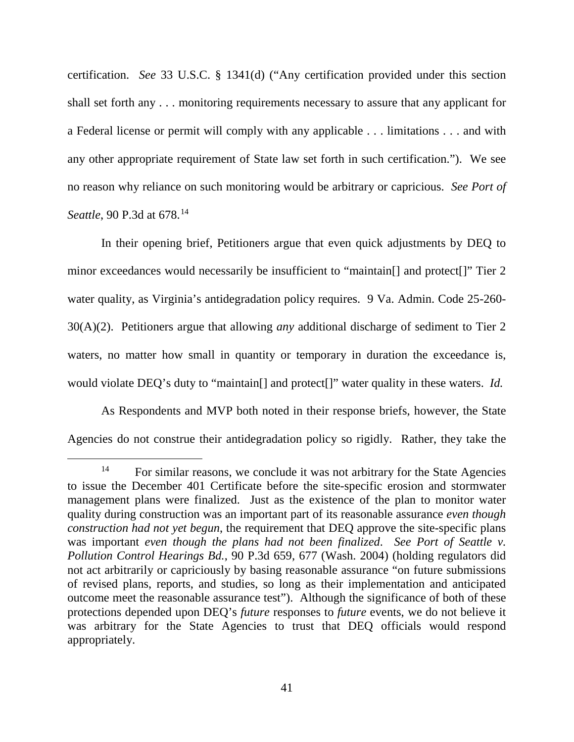certification. *See* 33 U.S.C. § 1341(d) ("Any certification provided under this section shall set forth any . . . monitoring requirements necessary to assure that any applicant for a Federal license or permit will comply with any applicable . . . limitations . . . and with any other appropriate requirement of State law set forth in such certification."). We see no reason why reliance on such monitoring would be arbitrary or capricious. *See Port of Seattle*, 90 P.3d at 678.<sup>[14](#page-40-0)</sup>

In their opening brief, Petitioners argue that even quick adjustments by DEQ to minor exceedances would necessarily be insufficient to "maintain<sup>[]</sup> and protect<sup>[]"</sup> Tier 2 water quality, as Virginia's antidegradation policy requires. 9 Va. Admin. Code 25-260- 30(A)(2). Petitioners argue that allowing *any* additional discharge of sediment to Tier 2 waters, no matter how small in quantity or temporary in duration the exceedance is, would violate DEQ's duty to "maintain[] and protect[]" water quality in these waters. *Id.*

As Respondents and MVP both noted in their response briefs, however, the State Agencies do not construe their antidegradation policy so rigidly. Rather, they take the

<span id="page-40-0"></span> $14$  For similar reasons, we conclude it was not arbitrary for the State Agencies to issue the December 401 Certificate before the site-specific erosion and stormwater management plans were finalized. Just as the existence of the plan to monitor water quality during construction was an important part of its reasonable assurance *even though construction had not yet begun*, the requirement that DEQ approve the site-specific plans was important *even though the plans had not been finalized*. *See Port of Seattle v. Pollution Control Hearings Bd.*, 90 P.3d 659, 677 (Wash. 2004) (holding regulators did not act arbitrarily or capriciously by basing reasonable assurance "on future submissions of revised plans, reports, and studies, so long as their implementation and anticipated outcome meet the reasonable assurance test"). Although the significance of both of these protections depended upon DEQ's *future* responses to *future* events, we do not believe it was arbitrary for the State Agencies to trust that DEQ officials would respond appropriately.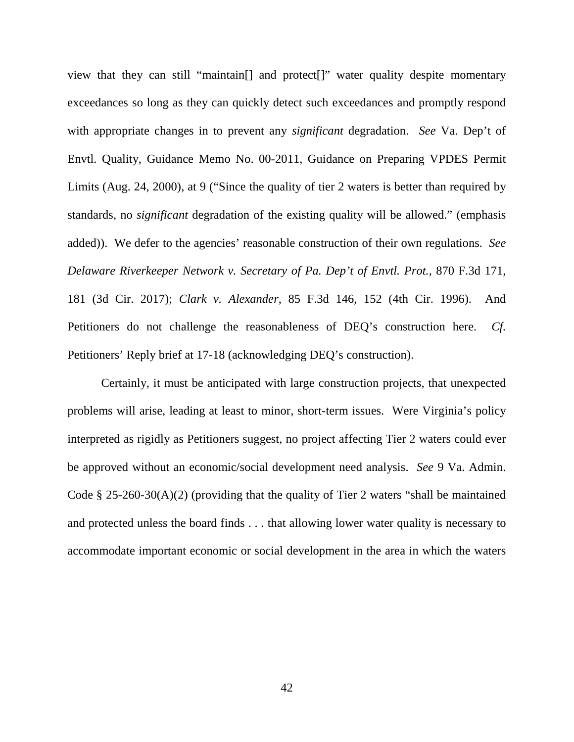view that they can still "maintain[] and protect[]" water quality despite momentary exceedances so long as they can quickly detect such exceedances and promptly respond with appropriate changes in to prevent any *significant* degradation. *See* Va. Dep't of Envtl. Quality, Guidance Memo No. 00-2011, Guidance on Preparing VPDES Permit Limits (Aug. 24, 2000), at 9 ("Since the quality of tier 2 waters is better than required by standards, no *significant* degradation of the existing quality will be allowed." (emphasis added)). We defer to the agencies' reasonable construction of their own regulations. *See Delaware Riverkeeper Network v. Secretary of Pa. Dep't of Envtl. Prot.*, 870 F.3d 171, 181 (3d Cir. 2017); *Clark v. Alexander*, 85 F.3d 146, 152 (4th Cir. 1996). And Petitioners do not challenge the reasonableness of DEQ's construction here. *Cf.* Petitioners' Reply brief at 17-18 (acknowledging DEQ's construction).

Certainly, it must be anticipated with large construction projects, that unexpected problems will arise, leading at least to minor, short-term issues. Were Virginia's policy interpreted as rigidly as Petitioners suggest, no project affecting Tier 2 waters could ever be approved without an economic/social development need analysis. *See* 9 Va. Admin. Code § 25-260-30(A)(2) (providing that the quality of Tier 2 waters "shall be maintained and protected unless the board finds . . . that allowing lower water quality is necessary to accommodate important economic or social development in the area in which the waters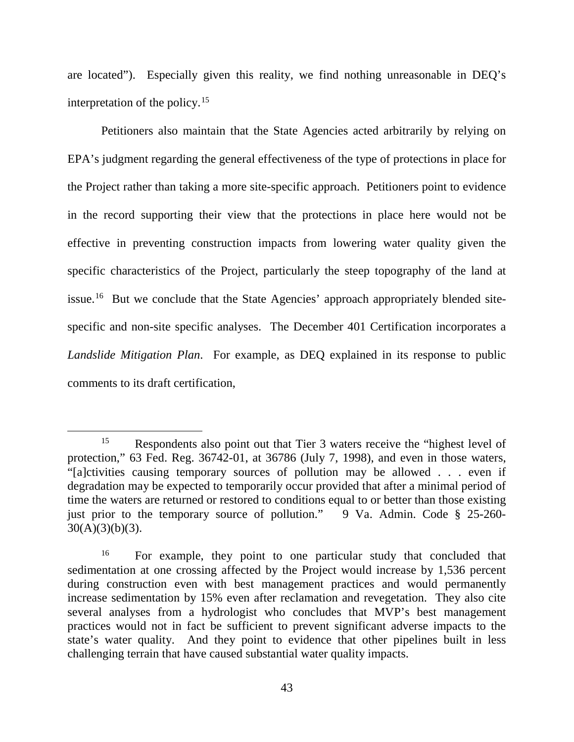are located"). Especially given this reality, we find nothing unreasonable in DEQ's interpretation of the policy.<sup>[15](#page-42-0)</sup>

Petitioners also maintain that the State Agencies acted arbitrarily by relying on EPA's judgment regarding the general effectiveness of the type of protections in place for the Project rather than taking a more site-specific approach. Petitioners point to evidence in the record supporting their view that the protections in place here would not be effective in preventing construction impacts from lowering water quality given the specific characteristics of the Project, particularly the steep topography of the land at issue.<sup>[16](#page-42-1)</sup> But we conclude that the State Agencies' approach appropriately blended sitespecific and non-site specific analyses. The December 401 Certification incorporates a *Landslide Mitigation Plan*. For example, as DEQ explained in its response to public comments to its draft certification,

<span id="page-42-0"></span><sup>&</sup>lt;sup>15</sup> Respondents also point out that Tier 3 waters receive the "highest level of protection," 63 Fed. Reg. 36742-01, at 36786 (July 7, 1998), and even in those waters, "[a]ctivities causing temporary sources of pollution may be allowed . . . even if degradation may be expected to temporarily occur provided that after a minimal period of time the waters are returned or restored to conditions equal to or better than those existing just prior to the temporary source of pollution." 9 Va. Admin. Code § 25-260- $30(A)(3)(b)(3)$ .

<span id="page-42-1"></span><sup>&</sup>lt;sup>16</sup> For example, they point to one particular study that concluded that sedimentation at one crossing affected by the Project would increase by 1,536 percent during construction even with best management practices and would permanently increase sedimentation by 15% even after reclamation and revegetation. They also cite several analyses from a hydrologist who concludes that MVP's best management practices would not in fact be sufficient to prevent significant adverse impacts to the state's water quality. And they point to evidence that other pipelines built in less challenging terrain that have caused substantial water quality impacts.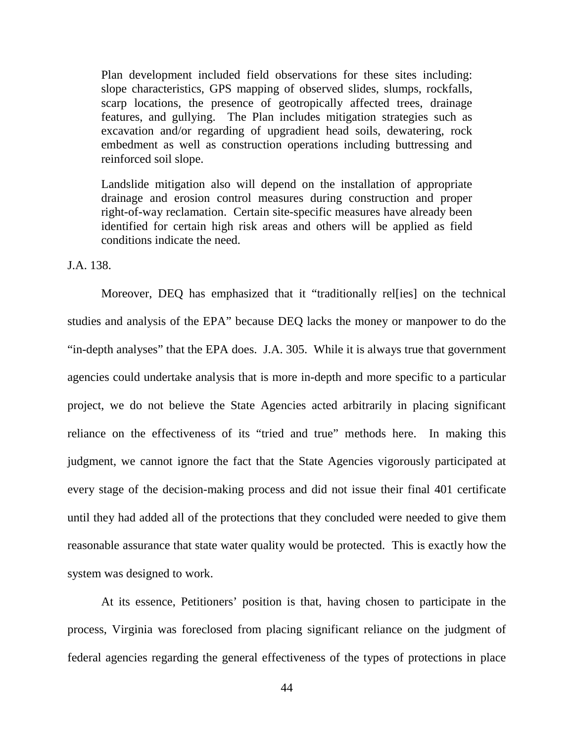Plan development included field observations for these sites including: slope characteristics, GPS mapping of observed slides, slumps, rockfalls, scarp locations, the presence of geotropically affected trees, drainage features, and gullying. The Plan includes mitigation strategies such as excavation and/or regarding of upgradient head soils, dewatering, rock embedment as well as construction operations including buttressing and reinforced soil slope.

Landslide mitigation also will depend on the installation of appropriate drainage and erosion control measures during construction and proper right-of-way reclamation. Certain site-specific measures have already been identified for certain high risk areas and others will be applied as field conditions indicate the need.

J.A. 138.

Moreover, DEQ has emphasized that it "traditionally rel[ies] on the technical studies and analysis of the EPA" because DEQ lacks the money or manpower to do the "in-depth analyses" that the EPA does. J.A. 305. While it is always true that government agencies could undertake analysis that is more in-depth and more specific to a particular project, we do not believe the State Agencies acted arbitrarily in placing significant reliance on the effectiveness of its "tried and true" methods here. In making this judgment, we cannot ignore the fact that the State Agencies vigorously participated at every stage of the decision-making process and did not issue their final 401 certificate until they had added all of the protections that they concluded were needed to give them reasonable assurance that state water quality would be protected. This is exactly how the system was designed to work.

At its essence, Petitioners' position is that, having chosen to participate in the process, Virginia was foreclosed from placing significant reliance on the judgment of federal agencies regarding the general effectiveness of the types of protections in place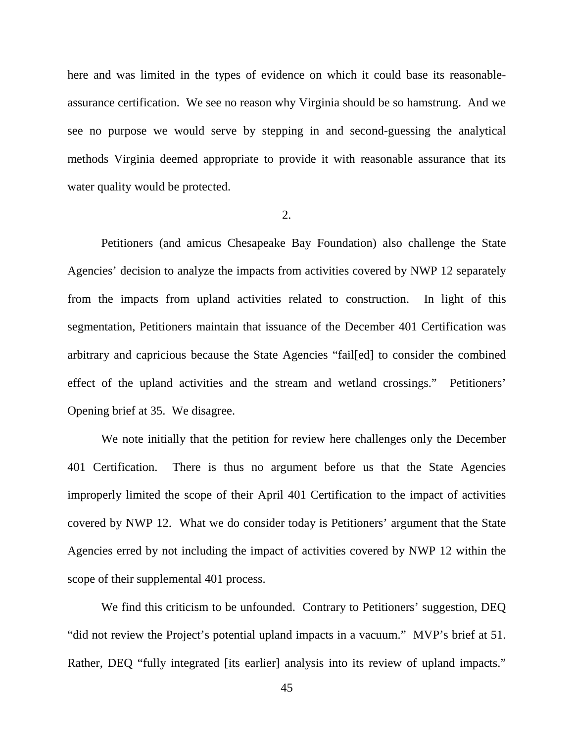here and was limited in the types of evidence on which it could base its reasonableassurance certification. We see no reason why Virginia should be so hamstrung. And we see no purpose we would serve by stepping in and second-guessing the analytical methods Virginia deemed appropriate to provide it with reasonable assurance that its water quality would be protected.

### 2.

Petitioners (and amicus Chesapeake Bay Foundation) also challenge the State Agencies' decision to analyze the impacts from activities covered by NWP 12 separately from the impacts from upland activities related to construction. In light of this segmentation, Petitioners maintain that issuance of the December 401 Certification was arbitrary and capricious because the State Agencies "fail[ed] to consider the combined effect of the upland activities and the stream and wetland crossings." Petitioners' Opening brief at 35. We disagree.

We note initially that the petition for review here challenges only the December 401 Certification. There is thus no argument before us that the State Agencies improperly limited the scope of their April 401 Certification to the impact of activities covered by NWP 12. What we do consider today is Petitioners' argument that the State Agencies erred by not including the impact of activities covered by NWP 12 within the scope of their supplemental 401 process.

We find this criticism to be unfounded. Contrary to Petitioners' suggestion, DEQ "did not review the Project's potential upland impacts in a vacuum." MVP's brief at 51. Rather, DEQ "fully integrated [its earlier] analysis into its review of upland impacts."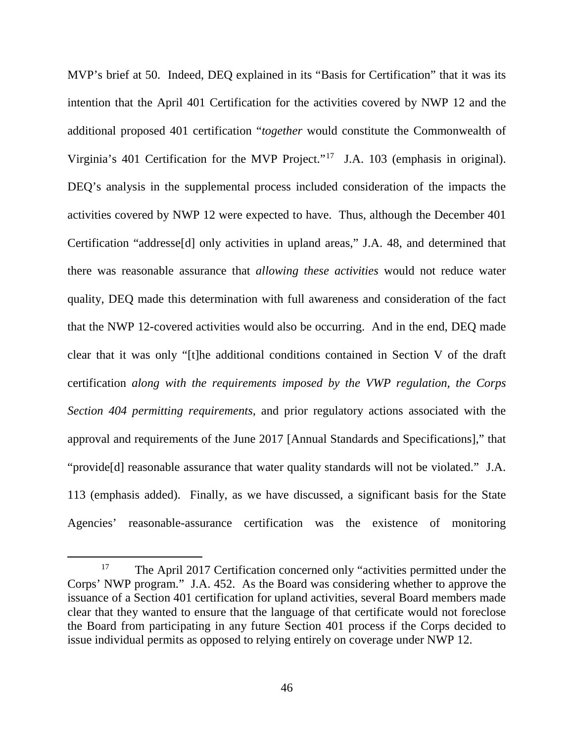MVP's brief at 50. Indeed, DEQ explained in its "Basis for Certification" that it was its intention that the April 401 Certification for the activities covered by NWP 12 and the additional proposed 401 certification "*together* would constitute the Commonwealth of Virginia's 401 Certification for the MVP Project."[17](#page-45-0) J.A. 103 (emphasis in original). DEQ's analysis in the supplemental process included consideration of the impacts the activities covered by NWP 12 were expected to have. Thus, although the December 401 Certification "addresse[d] only activities in upland areas," J.A. 48, and determined that there was reasonable assurance that *allowing these activities* would not reduce water quality, DEQ made this determination with full awareness and consideration of the fact that the NWP 12-covered activities would also be occurring. And in the end, DEQ made clear that it was only "[t]he additional conditions contained in Section V of the draft certification *along with the requirements imposed by the VWP regulation, the Corps Section 404 permitting requirements*, and prior regulatory actions associated with the approval and requirements of the June 2017 [Annual Standards and Specifications]," that "provide[d] reasonable assurance that water quality standards will not be violated." J.A. 113 (emphasis added). Finally, as we have discussed, a significant basis for the State Agencies' reasonable-assurance certification was the existence of monitoring

<span id="page-45-0"></span><sup>&</sup>lt;sup>17</sup> The April 2017 Certification concerned only "activities permitted under the Corps' NWP program." J.A. 452. As the Board was considering whether to approve the issuance of a Section 401 certification for upland activities, several Board members made clear that they wanted to ensure that the language of that certificate would not foreclose the Board from participating in any future Section 401 process if the Corps decided to issue individual permits as opposed to relying entirely on coverage under NWP 12.